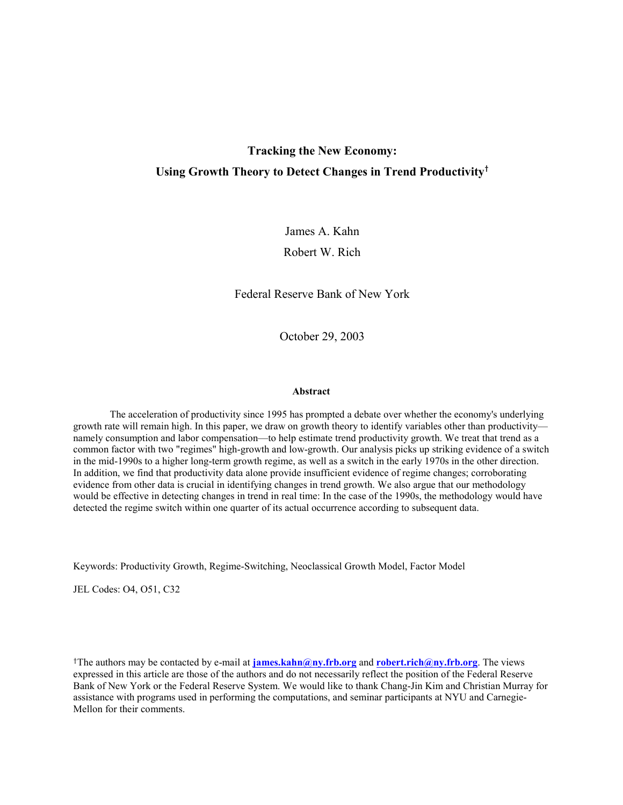# **Tracking the New Economy: Using Growth Theory to Detect Changes in Trend Productivity**†

James A. Kahn

Robert W. Rich

Federal Reserve Bank of New York

October 29, 2003

#### **Abstract**

The acceleration of productivity since 1995 has prompted a debate over whether the economy's underlying growth rate will remain high. In this paper, we draw on growth theory to identify variables other than productivity namely consumption and labor compensation—to help estimate trend productivity growth. We treat that trend as a common factor with two "regimes" high-growth and low-growth. Our analysis picks up striking evidence of a switch in the mid-1990s to a higher long-term growth regime, as well as a switch in the early 1970s in the other direction. In addition, we find that productivity data alone provide insufficient evidence of regime changes; corroborating evidence from other data is crucial in identifying changes in trend growth. We also argue that our methodology would be effective in detecting changes in trend in real time: In the case of the 1990s, the methodology would have detected the regime switch within one quarter of its actual occurrence according to subsequent data.

Keywords: Productivity Growth, Regime-Switching, Neoclassical Growth Model, Factor Model

JEL Codes: O4, O51, C32

†The authors may be contacted by e-mail at **james.kahn@ny.frb.org** and **robert.rich@ny.frb.org**. The views expressed in this article are those of the authors and do not necessarily reflect the position of the Federal Reserve Bank of New York or the Federal Reserve System. We would like to thank Chang-Jin Kim and Christian Murray for assistance with programs used in performing the computations, and seminar participants at NYU and Carnegie-Mellon for their comments.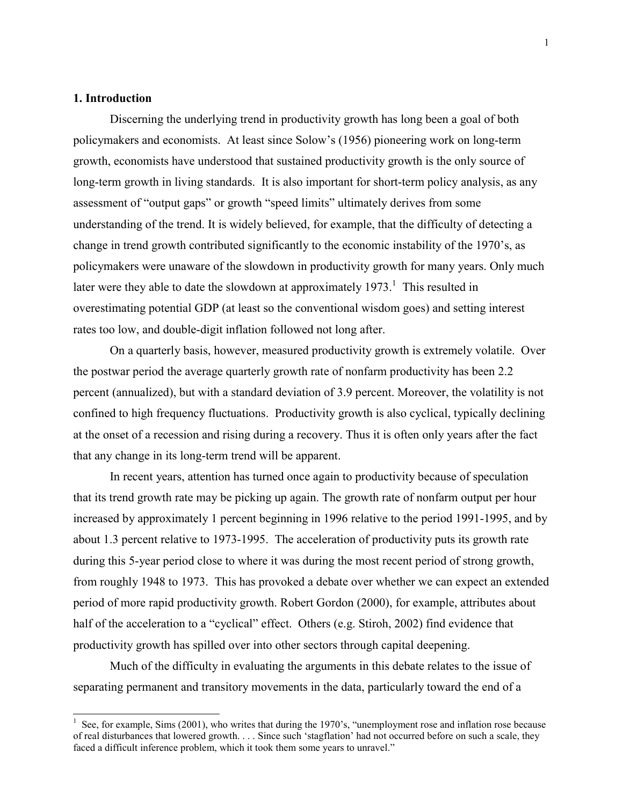# **1. Introduction**

 $\overline{a}$ 

Discerning the underlying trend in productivity growth has long been a goal of both policymakers and economists. At least since Solow's (1956) pioneering work on long-term growth, economists have understood that sustained productivity growth is the only source of long-term growth in living standards. It is also important for short-term policy analysis, as any assessment of "output gaps" or growth "speed limits" ultimately derives from some understanding of the trend. It is widely believed, for example, that the difficulty of detecting a change in trend growth contributed significantly to the economic instability of the 1970's, as policymakers were unaware of the slowdown in productivity growth for many years. Only much later were they able to date the slowdown at approximately  $1973$ .<sup>1</sup> This resulted in overestimating potential GDP (at least so the conventional wisdom goes) and setting interest rates too low, and double-digit inflation followed not long after.

On a quarterly basis, however, measured productivity growth is extremely volatile. Over the postwar period the average quarterly growth rate of nonfarm productivity has been 2.2 percent (annualized), but with a standard deviation of 3.9 percent. Moreover, the volatility is not confined to high frequency fluctuations. Productivity growth is also cyclical, typically declining at the onset of a recession and rising during a recovery. Thus it is often only years after the fact that any change in its long-term trend will be apparent.

In recent years, attention has turned once again to productivity because of speculation that its trend growth rate may be picking up again. The growth rate of nonfarm output per hour increased by approximately 1 percent beginning in 1996 relative to the period 1991-1995, and by about 1.3 percent relative to 1973-1995. The acceleration of productivity puts its growth rate during this 5-year period close to where it was during the most recent period of strong growth, from roughly 1948 to 1973. This has provoked a debate over whether we can expect an extended period of more rapid productivity growth. Robert Gordon (2000), for example, attributes about half of the acceleration to a "cyclical" effect. Others (e.g. Stiroh, 2002) find evidence that productivity growth has spilled over into other sectors through capital deepening.

Much of the difficulty in evaluating the arguments in this debate relates to the issue of separating permanent and transitory movements in the data, particularly toward the end of a

 $1$  See, for example, Sims (2001), who writes that during the 1970's, "unemployment rose and inflation rose because of real disturbances that lowered growth. . . . Since such 'stagflation' had not occurred before on such a scale, they faced a difficult inference problem, which it took them some years to unravel."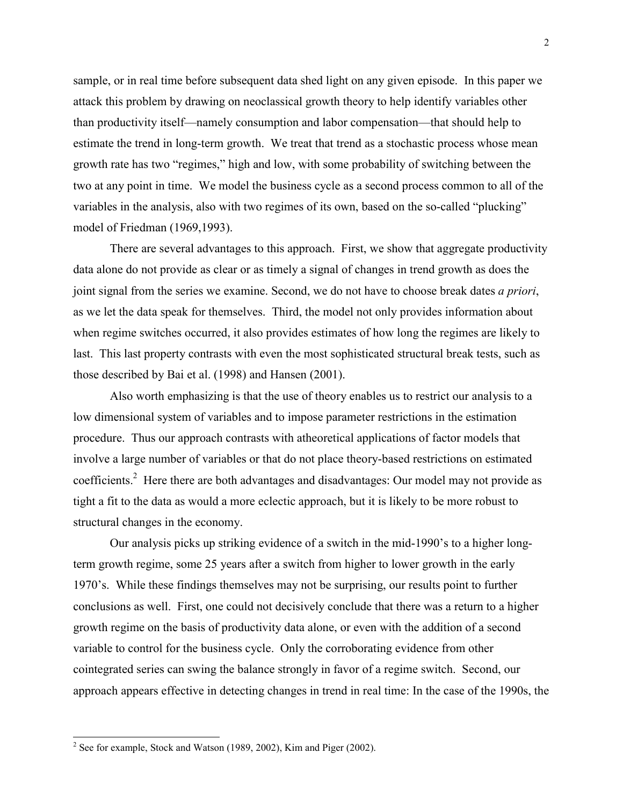sample, or in real time before subsequent data shed light on any given episode. In this paper we attack this problem by drawing on neoclassical growth theory to help identify variables other than productivity itself—namely consumption and labor compensation—that should help to estimate the trend in long-term growth. We treat that trend as a stochastic process whose mean growth rate has two "regimes," high and low, with some probability of switching between the two at any point in time. We model the business cycle as a second process common to all of the variables in the analysis, also with two regimes of its own, based on the so-called "plucking" model of Friedman (1969,1993).

There are several advantages to this approach. First, we show that aggregate productivity data alone do not provide as clear or as timely a signal of changes in trend growth as does the joint signal from the series we examine. Second, we do not have to choose break dates *a priori*, as we let the data speak for themselves. Third, the model not only provides information about when regime switches occurred, it also provides estimates of how long the regimes are likely to last. This last property contrasts with even the most sophisticated structural break tests, such as those described by Bai et al. (1998) and Hansen (2001).

Also worth emphasizing is that the use of theory enables us to restrict our analysis to a low dimensional system of variables and to impose parameter restrictions in the estimation procedure. Thus our approach contrasts with atheoretical applications of factor models that involve a large number of variables or that do not place theory-based restrictions on estimated coefficients.<sup>2</sup> Here there are both advantages and disadvantages: Our model may not provide as tight a fit to the data as would a more eclectic approach, but it is likely to be more robust to structural changes in the economy.

Our analysis picks up striking evidence of a switch in the mid-1990's to a higher longterm growth regime, some 25 years after a switch from higher to lower growth in the early 1970's. While these findings themselves may not be surprising, our results point to further conclusions as well. First, one could not decisively conclude that there was a return to a higher growth regime on the basis of productivity data alone, or even with the addition of a second variable to control for the business cycle. Only the corroborating evidence from other cointegrated series can swing the balance strongly in favor of a regime switch. Second, our approach appears effective in detecting changes in trend in real time: In the case of the 1990s, the

<sup>&</sup>lt;sup>2</sup> See for example, Stock and Watson (1989, 2002), Kim and Piger (2002).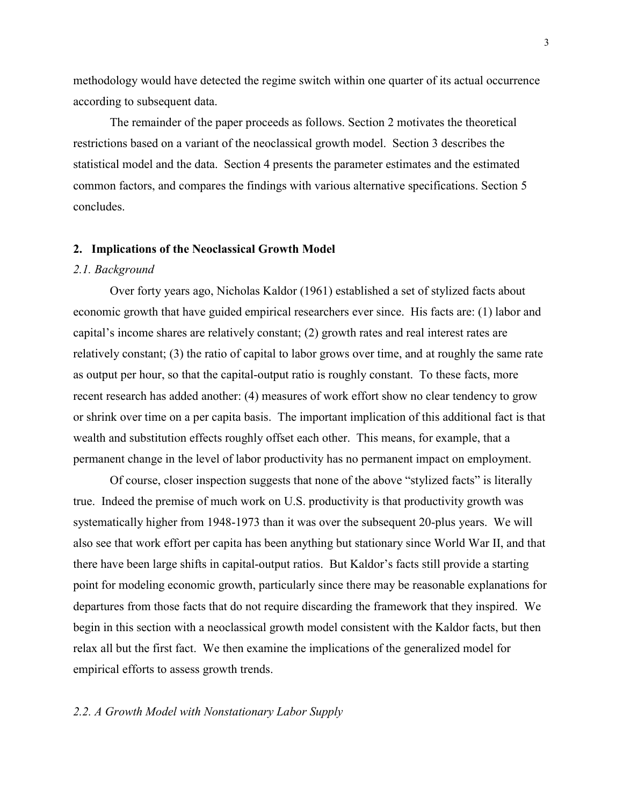methodology would have detected the regime switch within one quarter of its actual occurrence according to subsequent data.

The remainder of the paper proceeds as follows. Section 2 motivates the theoretical restrictions based on a variant of the neoclassical growth model. Section 3 describes the statistical model and the data. Section 4 presents the parameter estimates and the estimated common factors, and compares the findings with various alternative specifications. Section 5 concludes.

# **2. Implications of the Neoclassical Growth Model**

# *2.1. Background*

Over forty years ago, Nicholas Kaldor (1961) established a set of stylized facts about economic growth that have guided empirical researchers ever since. His facts are: (1) labor and capital's income shares are relatively constant; (2) growth rates and real interest rates are relatively constant; (3) the ratio of capital to labor grows over time, and at roughly the same rate as output per hour, so that the capital-output ratio is roughly constant. To these facts, more recent research has added another: (4) measures of work effort show no clear tendency to grow or shrink over time on a per capita basis. The important implication of this additional fact is that wealth and substitution effects roughly offset each other. This means, for example, that a permanent change in the level of labor productivity has no permanent impact on employment.

Of course, closer inspection suggests that none of the above "stylized facts" is literally true. Indeed the premise of much work on U.S. productivity is that productivity growth was systematically higher from 1948-1973 than it was over the subsequent 20-plus years. We will also see that work effort per capita has been anything but stationary since World War II, and that there have been large shifts in capital-output ratios. But Kaldor's facts still provide a starting point for modeling economic growth, particularly since there may be reasonable explanations for departures from those facts that do not require discarding the framework that they inspired. We begin in this section with a neoclassical growth model consistent with the Kaldor facts, but then relax all but the first fact. We then examine the implications of the generalized model for empirical efforts to assess growth trends.

# *2.2. A Growth Model with Nonstationary Labor Supply*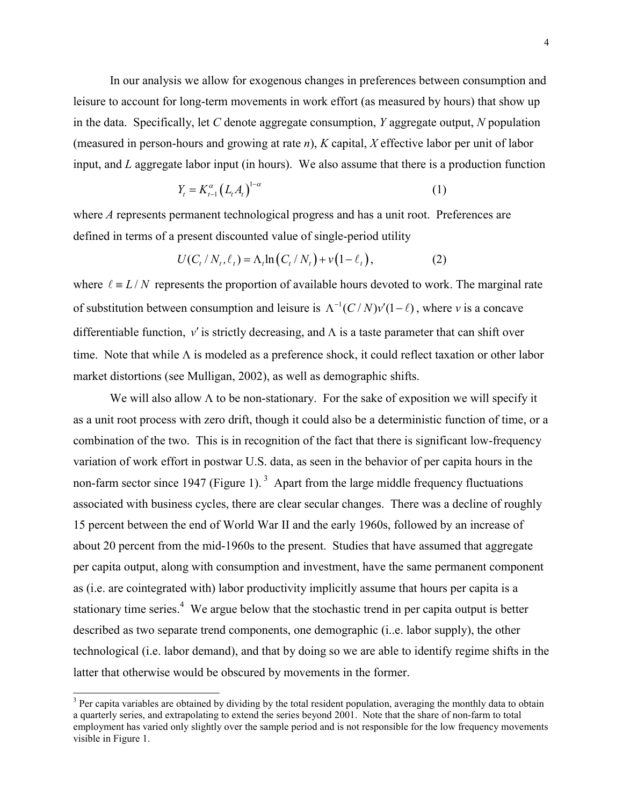In our analysis we allow for exogenous changes in preferences between consumption and leisure to account for long-term movements in work effort (as measured by hours) that show up in the data. Specifically, let *C* denote aggregate consumption, *Y* aggregate output, *N* population (measured in person-hours and growing at rate *n*), *K* capital, *X* effective labor per unit of labor input, and *L* aggregate labor input (in hours). We also assume that there is a production function

$$
Y_t = K_{t-1}^{\alpha} \left( L_t A_t \right)^{1-\alpha} \tag{1}
$$

where *A* represents permanent technological progress and has a unit root. Preferences are defined in terms of a present discounted value of single-period utility

$$
U(C_t / N_t, \ell_t) = \Lambda_t \ln(C_t / N_t) + v(1 - \ell_t),
$$
 (2)

where  $\ell = L/N$  represents the proportion of available hours devoted to work. The marginal rate of substitution between consumption and leisure is  $\Lambda^{-1}(C/N)v'(1-\ell)$ , where *v* is a concave differentiable function,  $v'$  is strictly decreasing, and  $\Lambda$  is a taste parameter that can shift over time. Note that while  $\Lambda$  is modeled as a preference shock, it could reflect taxation or other labor market distortions (see Mulligan, 2002), as well as demographic shifts.

We will also allow  $\Lambda$  to be non-stationary. For the sake of exposition we will specify it as a unit root process with zero drift, though it could also be a deterministic function of time, or a combination of the two. This is in recognition of the fact that there is significant low-frequency variation of work effort in postwar U.S. data, as seen in the behavior of per capita hours in the non-farm sector since 1947 (Figure 1).<sup>3</sup> Apart from the large middle frequency fluctuations associated with business cycles, there are clear secular changes. There was a decline of roughly 15 percent between the end of World War II and the early 1960s, followed by an increase of about 20 percent from the mid-1960s to the present. Studies that have assumed that aggregate per capita output, along with consumption and investment, have the same permanent component as (i.e. are cointegrated with) labor productivity implicitly assume that hours per capita is a stationary time series.<sup>4</sup> We argue below that the stochastic trend in per capita output is better described as two separate trend components, one demographic (i..e. labor supply), the other technological (i.e. labor demand), and that by doing so we are able to identify regime shifts in the latter that otherwise would be obscured by movements in the former.

 $\overline{a}$ 

 $3$  Per capita variables are obtained by dividing by the total resident population, averaging the monthly data to obtain a quarterly series, and extrapolating to extend the series beyond 2001. Note that the share of non-farm to total employment has varied only slightly over the sample period and is not responsible for the low frequency movements visible in Figure 1.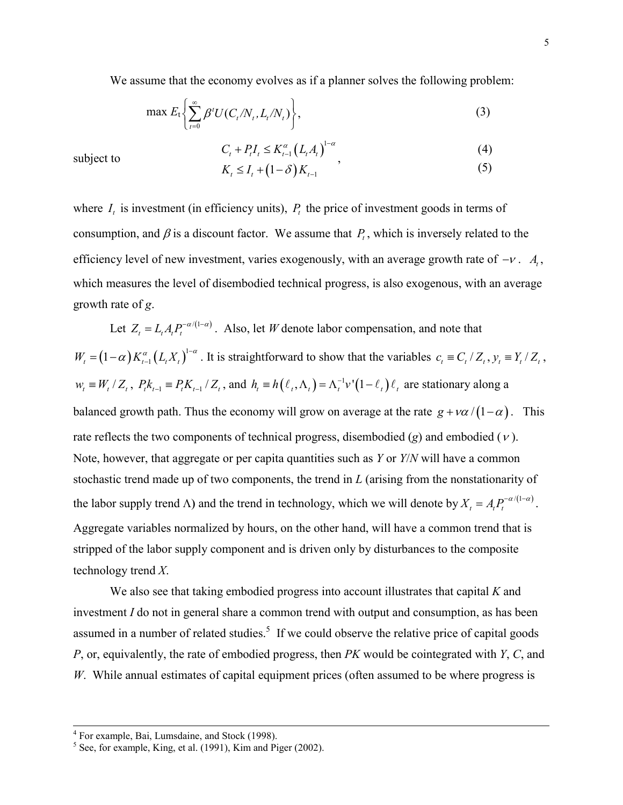We assume that the economy evolves as if a planner solves the following problem:

$$
\max E_t \left\{ \sum_{t=0}^{\infty} \beta^t U(C_t/N_t, L_t/N_t) \right\},\tag{3}
$$

$$
C_{t} + P_{t}I_{t} \le K_{t-1}^{\alpha} (L_{t}A_{t})^{1-\alpha},
$$
\n
$$
K_{t} \le I_{t} + (1-\delta)K_{t},
$$
\n(4)

$$
K_t \le I_t + (1 - \delta) K_{t-1} \tag{5}
$$

where  $I_t$  is investment (in efficiency units),  $P_t$  the price of investment goods in terms of consumption, and  $\beta$  is a discount factor. We assume that  $P_t$ , which is inversely related to the efficiency level of new investment, varies exogenously, with an average growth rate of  $-v$ .  $A_t$ , which measures the level of disembodied technical progress, is also exogenous, with an average growth rate of *g*.

Let  $Z_t = L_t A_t P_t^{-\alpha/(1-\alpha)}$ . Also, let *W* denote labor compensation, and note that  $W_t = (1 - \alpha) K_{t-1}^{\alpha} (L_t X_t)^{1-\alpha}$ . It is straightforward to show that the variables  $c_t = C_t / Z_t$ ,  $y_t = Y_t / Z_t$ ,  $w_t \equiv W_t / Z_t$ ,  $P_t k_{t-1} \equiv P_t K_{t-1} / Z_t$ , and  $h_t \equiv h(\ell_t, \Lambda_t) = \Lambda_t^{-1} v'(1 - \ell_t) \ell_t$  are stationary along a balanced growth path. Thus the economy will grow on average at the rate  $g + \nu a / (1 - \alpha)$ . This rate reflects the two components of technical progress, disembodied  $(g)$  and embodied  $(v)$ . Note, however, that aggregate or per capita quantities such as *Y* or *Y*/*N* will have a common stochastic trend made up of two components, the trend in *L* (arising from the nonstationarity of the labor supply trend  $\Lambda$ ) and the trend in technology, which we will denote by  $X_t = A_t P_t^{-\alpha/(1-\alpha)}$ . Aggregate variables normalized by hours, on the other hand, will have a common trend that is stripped of the labor supply component and is driven only by disturbances to the composite technology trend *X*.

We also see that taking embodied progress into account illustrates that capital *K* and investment *I* do not in general share a common trend with output and consumption, as has been assumed in a number of related studies.<sup>5</sup> If we could observe the relative price of capital goods *P*, or, equivalently, the rate of embodied progress, then *PK* would be cointegrated with *Y*, *C*, and *W*. While annual estimates of capital equipment prices (often assumed to be where progress is

subject to

 <sup>4</sup> For example, Bai, Lumsdaine, and Stock (1998).

 $<sup>5</sup>$  See, for example, King, et al. (1991), Kim and Piger (2002).</sup>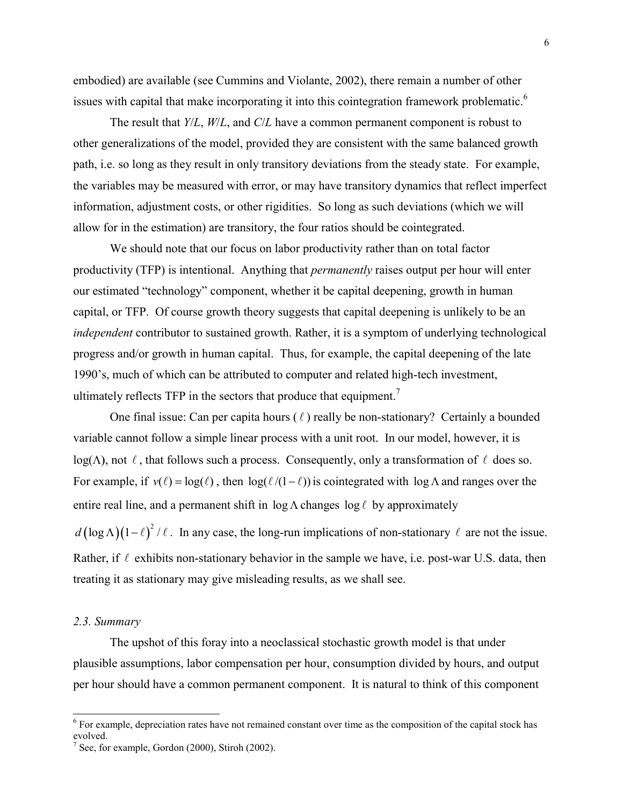embodied) are available (see Cummins and Violante, 2002), there remain a number of other issues with capital that make incorporating it into this cointegration framework problematic.<sup>6</sup>

The result that *Y*/*L*, *W*/*L*, and *C*/*L* have a common permanent component is robust to other generalizations of the model, provided they are consistent with the same balanced growth path, i.e. so long as they result in only transitory deviations from the steady state. For example, the variables may be measured with error, or may have transitory dynamics that reflect imperfect information, adjustment costs, or other rigidities. So long as such deviations (which we will allow for in the estimation) are transitory, the four ratios should be cointegrated.

We should note that our focus on labor productivity rather than on total factor productivity (TFP) is intentional. Anything that *permanently* raises output per hour will enter our estimated "technology" component, whether it be capital deepening, growth in human capital, or TFP. Of course growth theory suggests that capital deepening is unlikely to be an *independent* contributor to sustained growth. Rather, it is a symptom of underlying technological progress and/or growth in human capital. Thus, for example, the capital deepening of the late 1990's, much of which can be attributed to computer and related high-tech investment, ultimately reflects TFP in the sectors that produce that equipment.<sup>7</sup>

One final issue: Can per capita hours  $(\ell)$  really be non-stationary? Certainly a bounded variable cannot follow a simple linear process with a unit root. In our model, however, it is  $log(\Lambda)$ , not  $\ell$ , that follows such a process. Consequently, only a transformation of  $\ell$  does so. For example, if  $v(\ell) = \log(\ell)$ , then  $\log(\ell/(1-\ell))$  is cointegrated with  $\log \Lambda$  and ranges over the entire real line, and a permanent shift in  $\log \Lambda$  changes  $\log \ell$  by approximately

 $d(\log \Lambda)(1-\ell)^2/\ell$ . In any case, the long-run implications of non-stationary  $\ell$  are not the issue. Rather, if  $\ell$  exhibits non-stationary behavior in the sample we have, i.e. post-war U.S. data, then treating it as stationary may give misleading results, as we shall see.

## *2.3. Summary*

 $\overline{a}$ 

The upshot of this foray into a neoclassical stochastic growth model is that under plausible assumptions, labor compensation per hour, consumption divided by hours, and output per hour should have a common permanent component. It is natural to think of this component

<sup>&</sup>lt;sup>6</sup> For example, depreciation rates have not remained constant over time as the composition of the capital stock has evolved.

 $7$  See, for example, Gordon (2000), Stiroh (2002).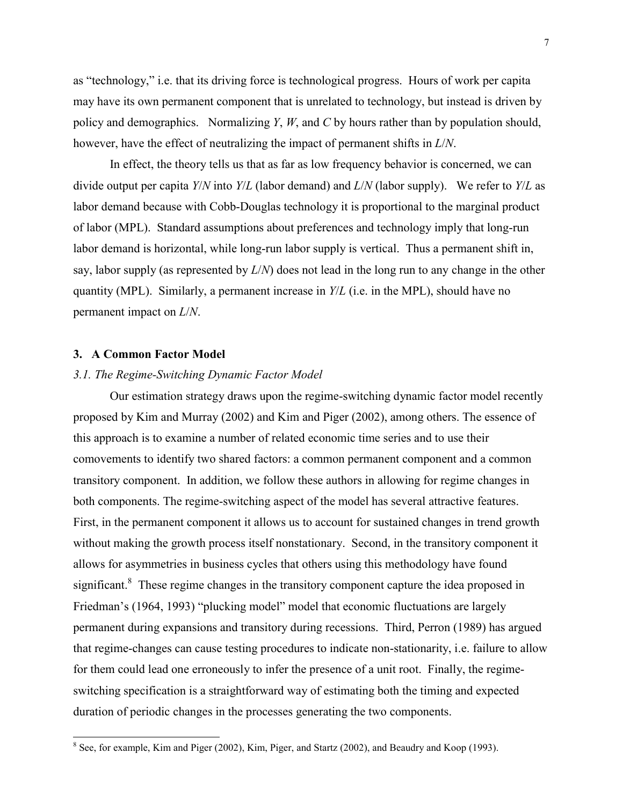as "technology," i.e. that its driving force is technological progress. Hours of work per capita may have its own permanent component that is unrelated to technology, but instead is driven by policy and demographics. Normalizing *Y*, *W*, and *C* by hours rather than by population should, however, have the effect of neutralizing the impact of permanent shifts in *L*/*N*.

In effect, the theory tells us that as far as low frequency behavior is concerned, we can divide output per capita *Y*/*N* into *Y*/*L* (labor demand) and *L*/*N* (labor supply). We refer to *Y*/*L* as labor demand because with Cobb-Douglas technology it is proportional to the marginal product of labor (MPL). Standard assumptions about preferences and technology imply that long-run labor demand is horizontal, while long-run labor supply is vertical. Thus a permanent shift in, say, labor supply (as represented by *L*/*N*) does not lead in the long run to any change in the other quantity (MPL). Similarly, a permanent increase in *Y*/*L* (i.e. in the MPL), should have no permanent impact on *L*/*N*.

# **3. A Common Factor Model**

### *3.1. The Regime-Switching Dynamic Factor Model*

Our estimation strategy draws upon the regime-switching dynamic factor model recently proposed by Kim and Murray (2002) and Kim and Piger (2002), among others. The essence of this approach is to examine a number of related economic time series and to use their comovements to identify two shared factors: a common permanent component and a common transitory component. In addition, we follow these authors in allowing for regime changes in both components. The regime-switching aspect of the model has several attractive features. First, in the permanent component it allows us to account for sustained changes in trend growth without making the growth process itself nonstationary. Second, in the transitory component it allows for asymmetries in business cycles that others using this methodology have found significant.<sup>8</sup> These regime changes in the transitory component capture the idea proposed in Friedman's (1964, 1993) "plucking model" model that economic fluctuations are largely permanent during expansions and transitory during recessions. Third, Perron (1989) has argued that regime-changes can cause testing procedures to indicate non-stationarity, i.e. failure to allow for them could lead one erroneously to infer the presence of a unit root. Finally, the regimeswitching specification is a straightforward way of estimating both the timing and expected duration of periodic changes in the processes generating the two components.

<sup>&</sup>lt;sup>8</sup> See, for example, Kim and Piger (2002), Kim, Piger, and Startz (2002), and Beaudry and Koop (1993).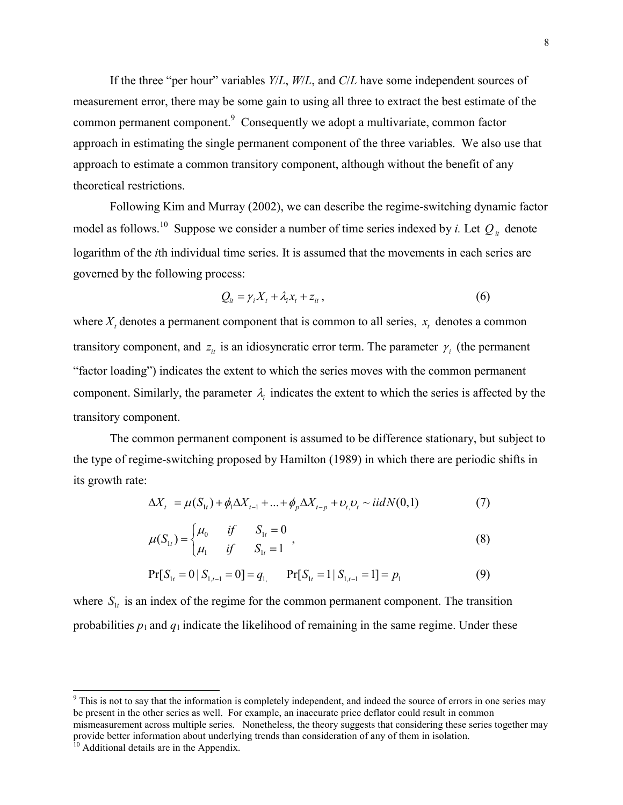If the three "per hour" variables *Y*/*L*, *W*/*L*, and *C*/*L* have some independent sources of measurement error, there may be some gain to using all three to extract the best estimate of the common permanent component. $9$  Consequently we adopt a multivariate, common factor approach in estimating the single permanent component of the three variables. We also use that approach to estimate a common transitory component, although without the benefit of any theoretical restrictions.

Following Kim and Murray (2002), we can describe the regime-switching dynamic factor model as follows.<sup>10</sup> Suppose we consider a number of time series indexed by *i*. Let  $Q_i$  denote logarithm of the *i*th individual time series. It is assumed that the movements in each series are governed by the following process:

$$
Q_{it} = \gamma_i X_t + \lambda_i x_t + z_{it}, \qquad (6)
$$

where  $X_t$  denotes a permanent component that is common to all series,  $x_t$  denotes a common transitory component, and  $z_i$  is an idiosyncratic error term. The parameter  $\gamma_i$  (the permanent "factor loading") indicates the extent to which the series moves with the common permanent component. Similarly, the parameter  $\lambda_i$  indicates the extent to which the series is affected by the transitory component.

The common permanent component is assumed to be difference stationary, but subject to the type of regime-switching proposed by Hamilton (1989) in which there are periodic shifts in its growth rate:

$$
\Delta X_t = \mu(S_{1t}) + \phi_1 \Delta X_{t-1} + ... + \phi_p \Delta X_{t-p} + \nu_t \nu_t \sim \text{iid } N(0,1) \tag{7}
$$

$$
\mu(S_{1t}) = \begin{cases} \mu_0 & \text{if } S_{1t} = 0 \\ \mu_1 & \text{if } S_{1t} = 1 \end{cases},
$$
\n(8)

$$
Pr[S_{1t} = 0 | S_{1,t-1} = 0] = q_1 \qquad Pr[S_{1t} = 1 | S_{1,t-1} = 1] = p_1
$$
\n(9)

where  $S_{1t}$  is an index of the regime for the common permanent component. The transition probabilities  $p_1$  and  $q_1$  indicate the likelihood of remaining in the same regime. Under these

l

<sup>&</sup>lt;sup>9</sup> This is not to say that the information is completely independent, and indeed the source of errors in one series may be present in the other series as well. For example, an inaccurate price deflator could result in common mismeasurement across multiple series. Nonetheless, the theory suggests that considering these series together may provide better information about underlying trends than consideration of any of them in isolation.

 $10$  Additional details are in the Appendix.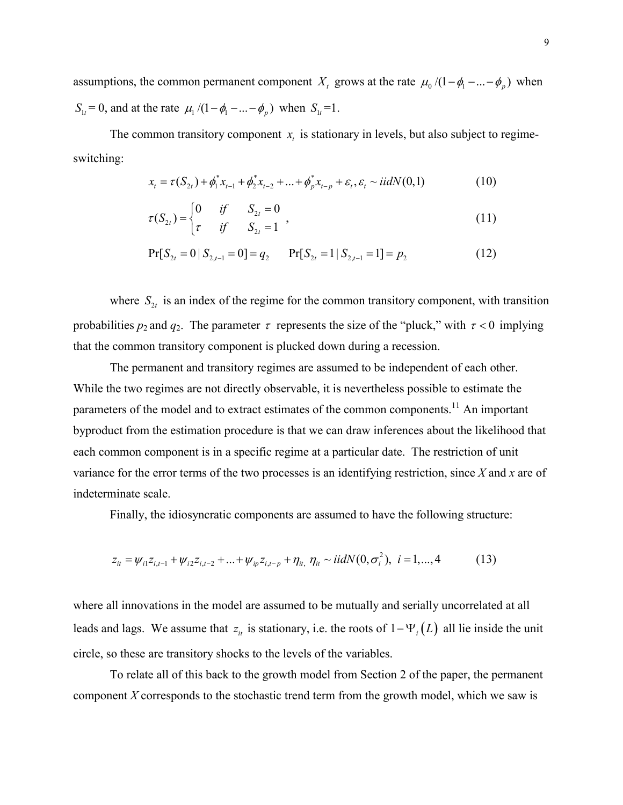assumptions, the common permanent component  $X_t$  grows at the rate  $\mu_0 / (1 - \phi_1 - ... - \phi_p)$  when  $S_{1t} = 0$ , and at the rate  $\mu_1 / (1 - \phi_1 - \dots - \phi_p)$  when  $S_{1t} = 1$ .

The common transitory component  $x<sub>i</sub>$  is stationary in levels, but also subject to regimeswitching:

$$
x_{t} = \tau(S_{2t}) + \phi_{1}^{*}x_{t-1} + \phi_{2}^{*}x_{t-2} + ... + \phi_{p}^{*}x_{t-p} + \varepsilon_{t}, \varepsilon_{t} \sim \text{iidN}(0,1)
$$
(10)

$$
\tau(S_{2t}) = \begin{cases} 0 & \text{if} & S_{2t} = 0 \\ \tau & \text{if} & S_{2t} = 1 \end{cases},
$$
\n(11)

$$
Pr[S_{2t} = 0 | S_{2,t-1} = 0] = q_2 \qquad Pr[S_{2t} = 1 | S_{2,t-1} = 1] = p_2 \tag{12}
$$

where  $S_{2t}$  is an index of the regime for the common transitory component, with transition probabilities  $p_2$  and  $q_2$ . The parameter  $\tau$  represents the size of the "pluck," with  $\tau < 0$  implying that the common transitory component is plucked down during a recession.

The permanent and transitory regimes are assumed to be independent of each other. While the two regimes are not directly observable, it is nevertheless possible to estimate the parameters of the model and to extract estimates of the common components.<sup>11</sup> An important byproduct from the estimation procedure is that we can draw inferences about the likelihood that each common component is in a specific regime at a particular date. The restriction of unit variance for the error terms of the two processes is an identifying restriction, since *X* and *x* are of indeterminate scale.

Finally, the idiosyncratic components are assumed to have the following structure:

$$
z_{it} = \psi_{i1} z_{i,t-1} + \psi_{i2} z_{i,t-2} + \dots + \psi_{ip} z_{i,t-p} + \eta_{it} \ \eta_{it} \sim \text{iidN}(0, \sigma_i^2), \ \ i = 1, \dots, 4 \tag{13}
$$

where all innovations in the model are assumed to be mutually and serially uncorrelated at all leads and lags. We assume that  $z_i$  is stationary, i.e. the roots of  $1 - \Psi_i(L)$  all lie inside the unit circle, so these are transitory shocks to the levels of the variables.

To relate all of this back to the growth model from Section 2 of the paper, the permanent component *X* corresponds to the stochastic trend term from the growth model, which we saw is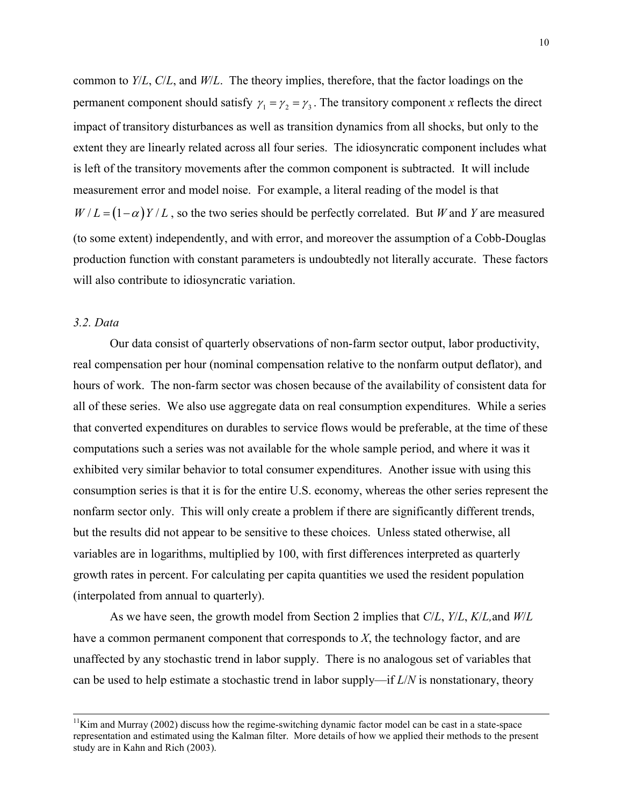common to *Y*/*L*, *C*/*L*, and *W*/*L*. The theory implies, therefore, that the factor loadings on the permanent component should satisfy  $\gamma_1 = \gamma_2 = \gamma_3$ . The transitory component *x* reflects the direct impact of transitory disturbances as well as transition dynamics from all shocks, but only to the extent they are linearly related across all four series. The idiosyncratic component includes what is left of the transitory movements after the common component is subtracted. It will include measurement error and model noise. For example, a literal reading of the model is that  $W/L = (1 - \alpha) Y/L$ , so the two series should be perfectly correlated. But *W* and *Y* are measured (to some extent) independently, and with error, and moreover the assumption of a Cobb-Douglas production function with constant parameters is undoubtedly not literally accurate. These factors will also contribute to idiosyncratic variation.

# *3.2. Data*

Our data consist of quarterly observations of non-farm sector output, labor productivity, real compensation per hour (nominal compensation relative to the nonfarm output deflator), and hours of work. The non-farm sector was chosen because of the availability of consistent data for all of these series. We also use aggregate data on real consumption expenditures. While a series that converted expenditures on durables to service flows would be preferable, at the time of these computations such a series was not available for the whole sample period, and where it was it exhibited very similar behavior to total consumer expenditures. Another issue with using this consumption series is that it is for the entire U.S. economy, whereas the other series represent the nonfarm sector only. This will only create a problem if there are significantly different trends, but the results did not appear to be sensitive to these choices. Unless stated otherwise, all variables are in logarithms, multiplied by 100, with first differences interpreted as quarterly growth rates in percent. For calculating per capita quantities we used the resident population (interpolated from annual to quarterly).

As we have seen, the growth model from Section 2 implies that *C*/*L*, *Y*/*L*, *K*/*L,*and *W*/*L* have a common permanent component that corresponds to *X*, the technology factor, and are unaffected by any stochastic trend in labor supply. There is no analogous set of variables that can be used to help estimate a stochastic trend in labor supply—if *L*/*N* is nonstationary, theory

 $11$ Kim and Murray (2002) discuss how the regime-switching dynamic factor model can be cast in a state-space representation and estimated using the Kalman filter. More details of how we applied their methods to the present study are in Kahn and Rich (2003).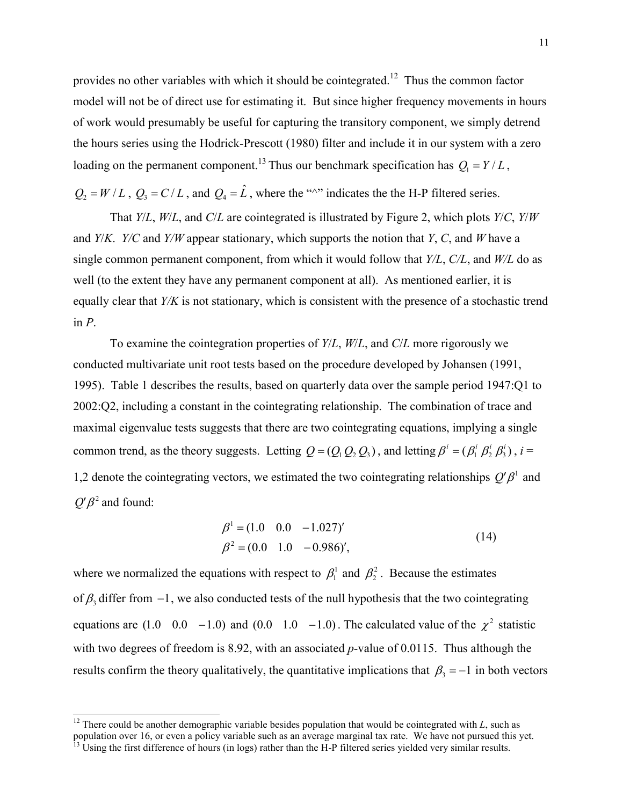provides no other variables with which it should be cointegrated.<sup>12</sup> Thus the common factor model will not be of direct use for estimating it. But since higher frequency movements in hours of work would presumably be useful for capturing the transitory component, we simply detrend the hours series using the Hodrick-Prescott (1980) filter and include it in our system with a zero loading on the permanent component.<sup>13</sup> Thus our benchmark specification has  $Q_1 = Y/L$ ,

 $Q_2 = W/L$ ,  $Q_3 = C/L$ , and  $Q_4 = \hat{L}$ , where the " $\sim$ " indicates the the H-P filtered series.

That *Y*/*L*, *W*/*L*, and *C*/*L* are cointegrated is illustrated by Figure 2, which plots *Y*/*C*, *Y*/*W* and *Y*/*K*. *Y/C* and *Y/W* appear stationary, which supports the notion that *Y*, *C*, and *W* have a single common permanent component, from which it would follow that *Y/L*, *C/L*, and *W/L* do as well (to the extent they have any permanent component at all). As mentioned earlier, it is equally clear that *Y/K* is not stationary, which is consistent with the presence of a stochastic trend in *P*.

To examine the cointegration properties of *Y*/*L*, *W*/*L*, and *C*/*L* more rigorously we conducted multivariate unit root tests based on the procedure developed by Johansen (1991, 1995). Table 1 describes the results, based on quarterly data over the sample period 1947:Q1 to 2002:Q2, including a constant in the cointegrating relationship. The combination of trace and maximal eigenvalue tests suggests that there are two cointegrating equations, implying a single common trend, as the theory suggests. Letting  $Q = (Q_1 Q_2 Q_3)$ , and letting  $\beta^i = (\beta_1^i \beta_2^i \beta_3^i)$ ,  $i =$ 1,2 denote the cointegrating vectors, we estimated the two cointegrating relationships  $Q'\beta$ <sup>1</sup> and  $Q'B^2$  and found:

$$
\beta^1 = (1.0 \quad 0.0 \quad -1.027)'
$$
  
\n
$$
\beta^2 = (0.0 \quad 1.0 \quad -0.986)'
$$
\n(14)

where we normalized the equations with respect to  $\beta_1^1$  and  $\beta_2^2$ . Because the estimates of  $\beta_3$  differ from  $-1$ , we also conducted tests of the null hypothesis that the two cointegrating equations are (1.0 0.0 -1.0) and (0.0 1.0 -1.0). The calculated value of the  $\chi^2$  statistic with two degrees of freedom is 8.92, with an associated *p*-value of 0.0115. Thus although the results confirm the theory qualitatively, the quantitative implications that  $\beta_3 = -1$  in both vectors

 $\overline{\phantom{a}}$ 

<sup>&</sup>lt;sup>12</sup> There could be another demographic variable besides population that would be cointegrated with  $L$ , such as population over 16, or even a policy variable such as an average marginal tax rate. We have not pursued this yet.

 $^{13}$  Using the first difference of hours (in logs) rather than the H-P filtered series yielded very similar results.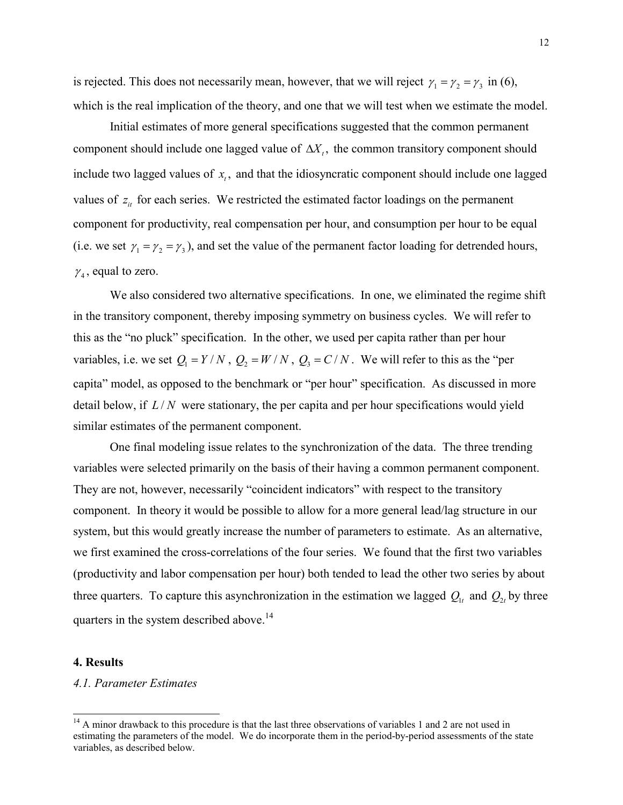is rejected. This does not necessarily mean, however, that we will reject  $\gamma_1 = \gamma_2 = \gamma_3$  in (6), which is the real implication of the theory, and one that we will test when we estimate the model.

Initial estimates of more general specifications suggested that the common permanent component should include one lagged value of  $\Delta X_t$ , the common transitory component should include two lagged values of  $x_t$ , and that the idiosyncratic component should include one lagged values of  $z_i$  for each series. We restricted the estimated factor loadings on the permanent component for productivity, real compensation per hour, and consumption per hour to be equal (i.e. we set  $\gamma_1 = \gamma_2 = \gamma_3$ ), and set the value of the permanent factor loading for detrended hours,  $\gamma_4$ , equal to zero.

We also considered two alternative specifications. In one, we eliminated the regime shift in the transitory component, thereby imposing symmetry on business cycles. We will refer to this as the "no pluck" specification. In the other, we used per capita rather than per hour variables, i.e. we set  $Q_1 = Y/N$ ,  $Q_2 = W/N$ ,  $Q_3 = C/N$ . We will refer to this as the "per capita" model, as opposed to the benchmark or "per hour" specification. As discussed in more detail below, if  $L/N$  were stationary, the per capita and per hour specifications would yield similar estimates of the permanent component.

One final modeling issue relates to the synchronization of the data. The three trending variables were selected primarily on the basis of their having a common permanent component. They are not, however, necessarily "coincident indicators" with respect to the transitory component. In theory it would be possible to allow for a more general lead/lag structure in our system, but this would greatly increase the number of parameters to estimate. As an alternative, we first examined the cross-correlations of the four series. We found that the first two variables (productivity and labor compensation per hour) both tended to lead the other two series by about three quarters. To capture this asynchronization in the estimation we lagged  $Q_{1t}$  and  $Q_{2t}$  by three quarters in the system described above.<sup>14</sup>

# **4. Results**

 $\overline{\phantom{a}}$ 

### *4.1. Parameter Estimates*

<sup>&</sup>lt;sup>14</sup> A minor drawback to this procedure is that the last three observations of variables 1 and 2 are not used in estimating the parameters of the model. We do incorporate them in the period-by-period assessments of the state variables, as described below.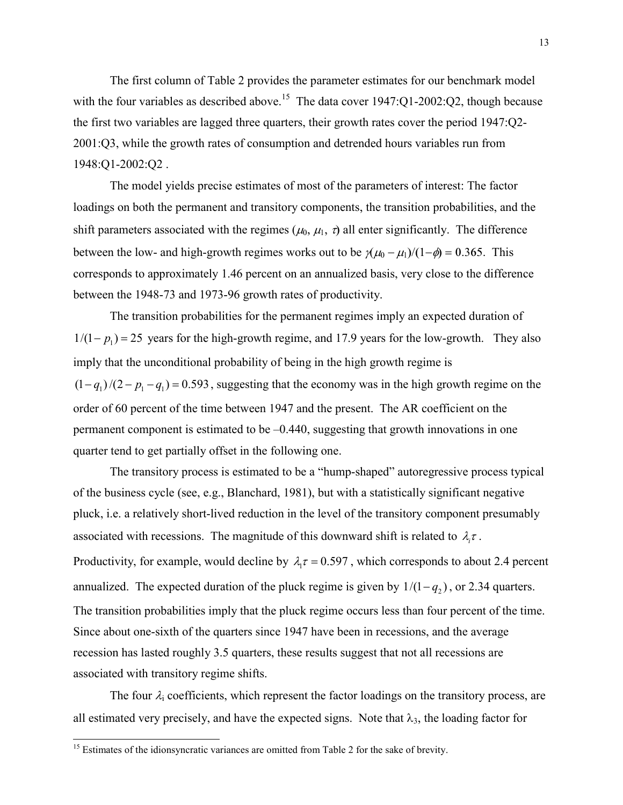The first column of Table 2 provides the parameter estimates for our benchmark model with the four variables as described above.<sup>15</sup> The data cover  $1947:Q1-2002:Q2$ , though because the first two variables are lagged three quarters, their growth rates cover the period 1947:Q2- 2001:Q3, while the growth rates of consumption and detrended hours variables run from 1948:Q1-2002:Q2 .

The model yields precise estimates of most of the parameters of interest: The factor loadings on both the permanent and transitory components, the transition probabilities, and the shift parameters associated with the regimes ( $\mu_0$ ,  $\mu_1$ ,  $\tau$ ) all enter significantly. The difference between the low- and high-growth regimes works out to be  $\gamma(\mu_0 - \mu_1)/(1 - \phi) = 0.365$ . This corresponds to approximately 1.46 percent on an annualized basis, very close to the difference between the 1948-73 and 1973-96 growth rates of productivity.

The transition probabilities for the permanent regimes imply an expected duration of  $1/(1 - p_1) = 25$  years for the high-growth regime, and 17.9 years for the low-growth. They also imply that the unconditional probability of being in the high growth regime is  $(1 - q_1)/(2 - p_1 - q_1) = 0.593$ , suggesting that the economy was in the high growth regime on the order of 60 percent of the time between 1947 and the present. The AR coefficient on the permanent component is estimated to be –0.440, suggesting that growth innovations in one quarter tend to get partially offset in the following one.

The transitory process is estimated to be a "hump-shaped" autoregressive process typical of the business cycle (see, e.g., Blanchard, 1981), but with a statistically significant negative pluck, i.e. a relatively short-lived reduction in the level of the transitory component presumably associated with recessions. The magnitude of this downward shift is related to  $\lambda_i \tau$ . Productivity, for example, would decline by  $\lambda_1 \tau = 0.597$ , which corresponds to about 2.4 percent annualized. The expected duration of the pluck regime is given by  $1/(1 - q_2)$ , or 2.34 quarters. The transition probabilities imply that the pluck regime occurs less than four percent of the time. Since about one-sixth of the quarters since 1947 have been in recessions, and the average recession has lasted roughly 3.5 quarters, these results suggest that not all recessions are associated with transitory regime shifts.

The four  $\lambda_i$  coefficients, which represent the factor loadings on the transitory process, are all estimated very precisely, and have the expected signs. Note that  $\lambda_3$ , the loading factor for

 $\overline{\phantom{a}}$ 

 $15$  Estimates of the idionsyncratic variances are omitted from Table 2 for the sake of brevity.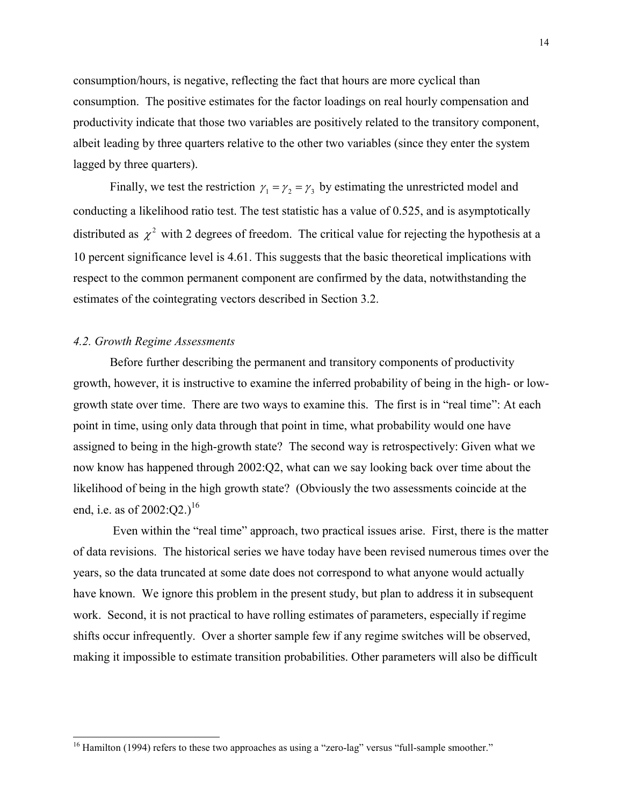consumption/hours, is negative, reflecting the fact that hours are more cyclical than consumption. The positive estimates for the factor loadings on real hourly compensation and productivity indicate that those two variables are positively related to the transitory component, albeit leading by three quarters relative to the other two variables (since they enter the system lagged by three quarters).

Finally, we test the restriction  $\gamma_1 = \gamma_2 = \gamma_3$  by estimating the unrestricted model and conducting a likelihood ratio test. The test statistic has a value of 0.525, and is asymptotically distributed as  $\chi^2$  with 2 degrees of freedom. The critical value for rejecting the hypothesis at a 10 percent significance level is 4.61. This suggests that the basic theoretical implications with respect to the common permanent component are confirmed by the data, notwithstanding the estimates of the cointegrating vectors described in Section 3.2.

# *4.2. Growth Regime Assessments*

 $\overline{\phantom{a}}$ 

Before further describing the permanent and transitory components of productivity growth, however, it is instructive to examine the inferred probability of being in the high- or lowgrowth state over time. There are two ways to examine this. The first is in "real time": At each point in time, using only data through that point in time, what probability would one have assigned to being in the high-growth state? The second way is retrospectively: Given what we now know has happened through 2002:Q2, what can we say looking back over time about the likelihood of being in the high growth state? (Obviously the two assessments coincide at the end, i.e. as of  $2002:O2.$ <sup>16</sup>

 Even within the "real time" approach, two practical issues arise. First, there is the matter of data revisions. The historical series we have today have been revised numerous times over the years, so the data truncated at some date does not correspond to what anyone would actually have known. We ignore this problem in the present study, but plan to address it in subsequent work. Second, it is not practical to have rolling estimates of parameters, especially if regime shifts occur infrequently. Over a shorter sample few if any regime switches will be observed, making it impossible to estimate transition probabilities. Other parameters will also be difficult

<sup>&</sup>lt;sup>16</sup> Hamilton (1994) refers to these two approaches as using a "zero-lag" versus "full-sample smoother."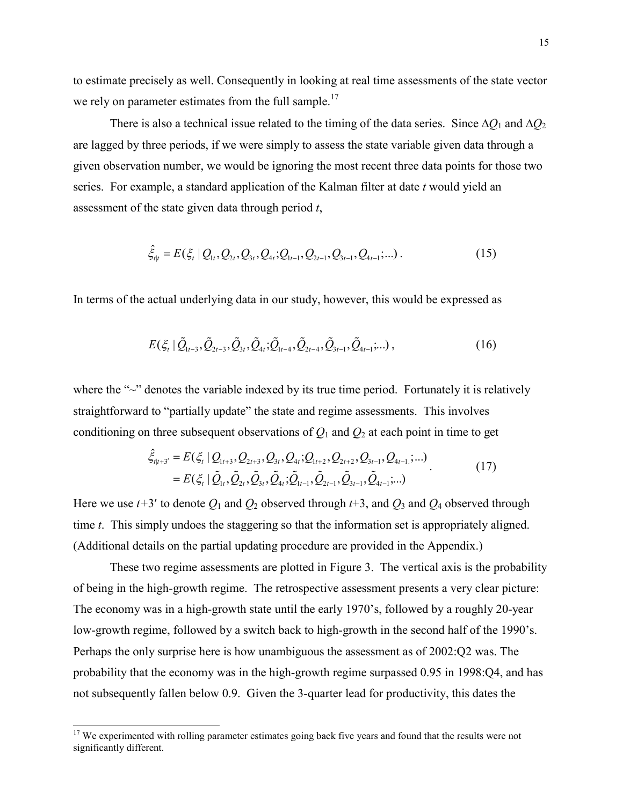to estimate precisely as well. Consequently in looking at real time assessments of the state vector we rely on parameter estimates from the full sample.<sup>17</sup>

There is also a technical issue related to the timing of the data series. Since  $\Delta Q_1$  and  $\Delta Q_2$ are lagged by three periods, if we were simply to assess the state variable given data through a given observation number, we would be ignoring the most recent three data points for those two series. For example, a standard application of the Kalman filter at date *t* would yield an assessment of the state given data through period *t*,

$$
\hat{\xi}_{t|t} = E(\xi_t \mid Q_{1t}, Q_{2t}, Q_{3t}, Q_{4t}; Q_{1t-1}, Q_{2t-1}, Q_{3t-1}, Q_{4t-1};...). \tag{15}
$$

In terms of the actual underlying data in our study, however, this would be expressed as

$$
E(\xi_t | \tilde{Q}_{1t-3}, \tilde{Q}_{2t-3}, \tilde{Q}_{3t}, \tilde{Q}_{4t}; \tilde{Q}_{1t-4}, \tilde{Q}_{2t-4}, \tilde{Q}_{3t-1}, \tilde{Q}_{4t-1};...),
$$
\n(16)

where the " $\sim$ " denotes the variable indexed by its true time period. Fortunately it is relatively straightforward to "partially update" the state and regime assessments. This involves conditioning on three subsequent observations of  $Q_1$  and  $Q_2$  at each point in time to get

$$
\hat{\xi}_{t|t+3'} = E(\xi_t | Q_{1t+3}, Q_{2t+3}, Q_{3t}, Q_{4t}; Q_{1t+2}, Q_{2t+2}, Q_{3t-1}, Q_{4t-1}; \dots) \n= E(\xi_t | \tilde{Q}_{1t}, \tilde{Q}_{2t}, \tilde{Q}_{3t}, \tilde{Q}_{4t}; \tilde{Q}_{1t-1}, \tilde{Q}_{2t-1}, \tilde{Q}_{3t-1}, \tilde{Q}_{4t-1}; \dots)
$$
\n(17)

Here we use  $t+3'$  to denote  $Q_1$  and  $Q_2$  observed through  $t+3$ , and  $Q_3$  and  $Q_4$  observed through time *t*. This simply undoes the staggering so that the information set is appropriately aligned. (Additional details on the partial updating procedure are provided in the Appendix.)

These two regime assessments are plotted in Figure 3. The vertical axis is the probability of being in the high-growth regime. The retrospective assessment presents a very clear picture: The economy was in a high-growth state until the early 1970's, followed by a roughly 20-year low-growth regime, followed by a switch back to high-growth in the second half of the 1990's. Perhaps the only surprise here is how unambiguous the assessment as of 2002:Q2 was. The probability that the economy was in the high-growth regime surpassed 0.95 in 1998:Q4, and has not subsequently fallen below 0.9. Given the 3-quarter lead for productivity, this dates the

l

<sup>&</sup>lt;sup>17</sup> We experimented with rolling parameter estimates going back five years and found that the results were not significantly different.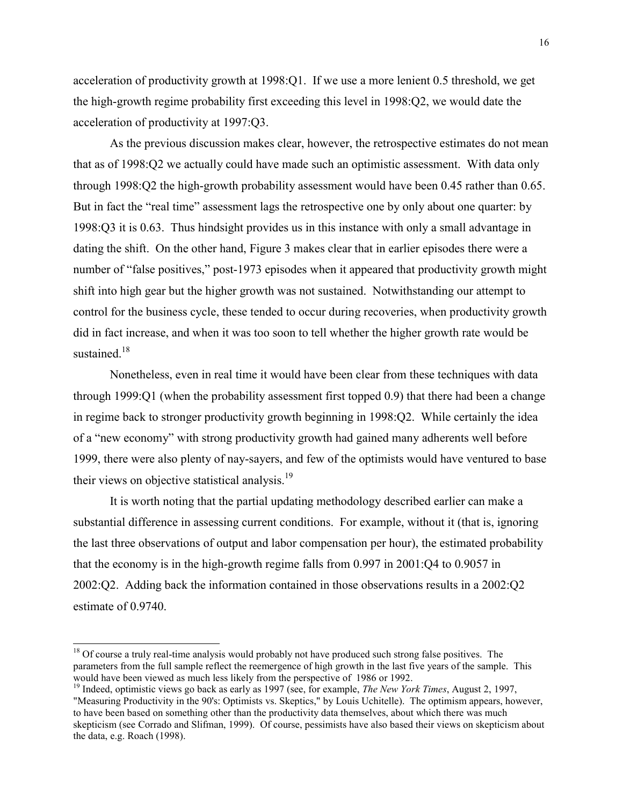acceleration of productivity growth at 1998:Q1. If we use a more lenient 0.5 threshold, we get the high-growth regime probability first exceeding this level in 1998:Q2, we would date the acceleration of productivity at 1997:Q3.

As the previous discussion makes clear, however, the retrospective estimates do not mean that as of 1998:Q2 we actually could have made such an optimistic assessment. With data only through 1998:Q2 the high-growth probability assessment would have been 0.45 rather than 0.65. But in fact the "real time" assessment lags the retrospective one by only about one quarter: by 1998:Q3 it is 0.63. Thus hindsight provides us in this instance with only a small advantage in dating the shift. On the other hand, Figure 3 makes clear that in earlier episodes there were a number of "false positives," post-1973 episodes when it appeared that productivity growth might shift into high gear but the higher growth was not sustained. Notwithstanding our attempt to control for the business cycle, these tended to occur during recoveries, when productivity growth did in fact increase, and when it was too soon to tell whether the higher growth rate would be sustained.<sup>18</sup>

Nonetheless, even in real time it would have been clear from these techniques with data through 1999:Q1 (when the probability assessment first topped 0.9) that there had been a change in regime back to stronger productivity growth beginning in 1998:Q2. While certainly the idea of a "new economy" with strong productivity growth had gained many adherents well before 1999, there were also plenty of nay-sayers, and few of the optimists would have ventured to base their views on objective statistical analysis.<sup>19</sup>

It is worth noting that the partial updating methodology described earlier can make a substantial difference in assessing current conditions. For example, without it (that is, ignoring the last three observations of output and labor compensation per hour), the estimated probability that the economy is in the high-growth regime falls from 0.997 in 2001:Q4 to 0.9057 in 2002:Q2. Adding back the information contained in those observations results in a 2002:Q2 estimate of 0.9740.

 $\overline{\phantom{a}}$ 

 $18$  Of course a truly real-time analysis would probably not have produced such strong false positives. The parameters from the full sample reflect the reemergence of high growth in the last five years of the sample. This would have been viewed as much less likely from the perspective of 1986 or 1992.

<sup>&</sup>lt;sup>19</sup> Indeed, optimistic views go back as early as 1997 (see, for example, *The New York Times*, August 2, 1997, "Measuring Productivity in the 90's: Optimists vs. Skeptics," by Louis Uchitelle). The optimism appears, however, to have been based on something other than the productivity data themselves, about which there was much skepticism (see Corrado and Slifman, 1999). Of course, pessimists have also based their views on skepticism about the data, e.g. Roach (1998).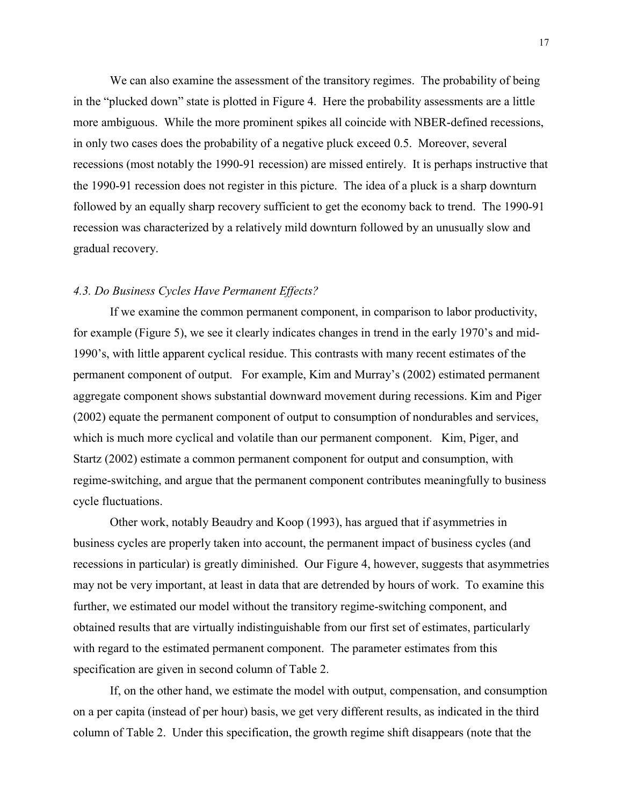We can also examine the assessment of the transitory regimes. The probability of being in the "plucked down" state is plotted in Figure 4. Here the probability assessments are a little more ambiguous. While the more prominent spikes all coincide with NBER-defined recessions, in only two cases does the probability of a negative pluck exceed 0.5. Moreover, several recessions (most notably the 1990-91 recession) are missed entirely. It is perhaps instructive that the 1990-91 recession does not register in this picture. The idea of a pluck is a sharp downturn followed by an equally sharp recovery sufficient to get the economy back to trend. The 1990-91 recession was characterized by a relatively mild downturn followed by an unusually slow and gradual recovery.

# *4.3. Do Business Cycles Have Permanent Effects?*

If we examine the common permanent component, in comparison to labor productivity, for example (Figure 5), we see it clearly indicates changes in trend in the early 1970's and mid-1990's, with little apparent cyclical residue. This contrasts with many recent estimates of the permanent component of output. For example, Kim and Murray's (2002) estimated permanent aggregate component shows substantial downward movement during recessions. Kim and Piger (2002) equate the permanent component of output to consumption of nondurables and services, which is much more cyclical and volatile than our permanent component. Kim, Piger, and Startz (2002) estimate a common permanent component for output and consumption, with regime-switching, and argue that the permanent component contributes meaningfully to business cycle fluctuations.

Other work, notably Beaudry and Koop (1993), has argued that if asymmetries in business cycles are properly taken into account, the permanent impact of business cycles (and recessions in particular) is greatly diminished. Our Figure 4, however, suggests that asymmetries may not be very important, at least in data that are detrended by hours of work. To examine this further, we estimated our model without the transitory regime-switching component, and obtained results that are virtually indistinguishable from our first set of estimates, particularly with regard to the estimated permanent component. The parameter estimates from this specification are given in second column of Table 2.

If, on the other hand, we estimate the model with output, compensation, and consumption on a per capita (instead of per hour) basis, we get very different results, as indicated in the third column of Table 2. Under this specification, the growth regime shift disappears (note that the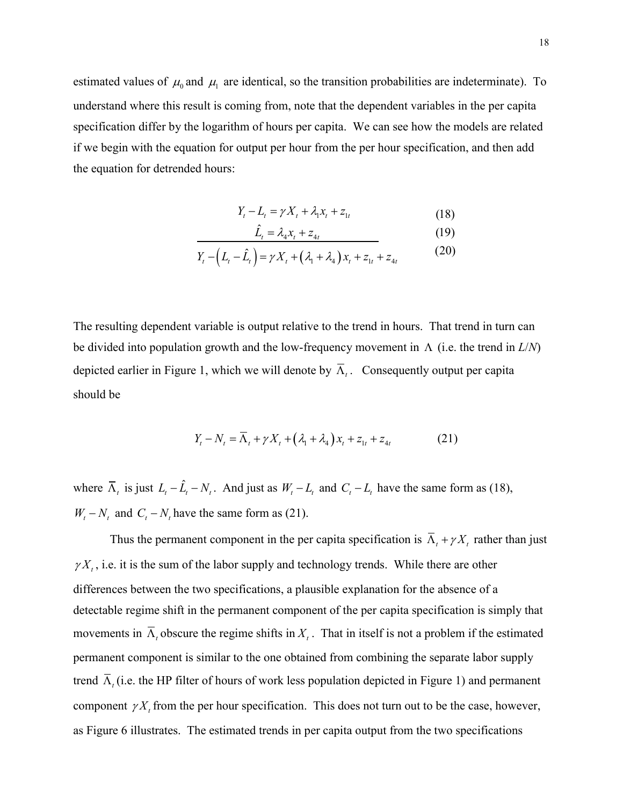estimated values of  $\mu_0$  and  $\mu_1$  are identical, so the transition probabilities are indeterminate). To understand where this result is coming from, note that the dependent variables in the per capita specification differ by the logarithm of hours per capita. We can see how the models are related if we begin with the equation for output per hour from the per hour specification, and then add the equation for detrended hours:

$$
Y_t - L_t = \gamma X_t + \lambda_1 x_t + z_{1t} \tag{18}
$$

$$
\hat{L}_t = \lambda_4 x_t + z_{4t} \tag{19}
$$

$$
Y_{t} - (L_{t} - \hat{L}_{t}) = \gamma X_{t} + (\lambda_{1} + \lambda_{4}) x_{t} + z_{1t} + z_{4t}
$$
 (20)

The resulting dependent variable is output relative to the trend in hours. That trend in turn can be divided into population growth and the low-frequency movement in  $\Lambda$  (i.e. the trend in  $L/N$ ) depicted earlier in Figure 1, which we will denote by  $\overline{\Lambda}_{i}$ . Consequently output per capita should be

$$
Y_{t} - N_{t} = \overline{\Lambda}_{t} + \gamma X_{t} + (\lambda_{1} + \lambda_{4})X_{t} + z_{1t} + z_{4t}
$$
 (21)

where  $\overline{\Lambda}_t$  is just  $L_t - \hat{L}_t - N_t$ . And just as  $W_t - L_t$  and  $C_t - L_t$  have the same form as (18),  $W_t - N_t$  and  $C_t - N_t$  have the same form as (21).

Thus the permanent component in the per capita specification is  $\overline{\Lambda}_t + \gamma X_t$  rather than just  $\gamma X_t$ , i.e. it is the sum of the labor supply and technology trends. While there are other differences between the two specifications, a plausible explanation for the absence of a detectable regime shift in the permanent component of the per capita specification is simply that movements in  $\overline{\Lambda}$ , obscure the regime shifts in  $X_t$ . That in itself is not a problem if the estimated permanent component is similar to the one obtained from combining the separate labor supply trend  $\overline{\Lambda}_t$  (i.e. the HP filter of hours of work less population depicted in Figure 1) and permanent component  $\gamma X_t$  from the per hour specification. This does not turn out to be the case, however, as Figure 6 illustrates. The estimated trends in per capita output from the two specifications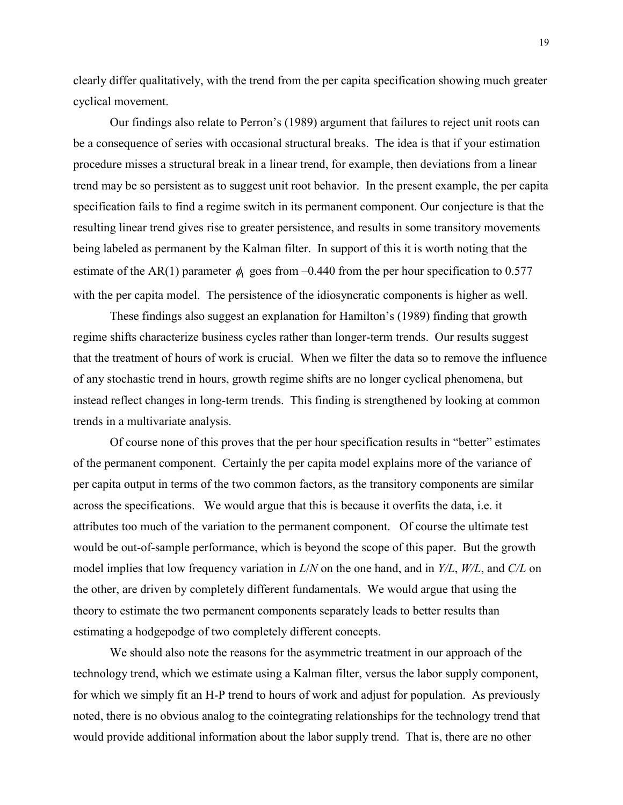clearly differ qualitatively, with the trend from the per capita specification showing much greater cyclical movement.

Our findings also relate to Perron's (1989) argument that failures to reject unit roots can be a consequence of series with occasional structural breaks. The idea is that if your estimation procedure misses a structural break in a linear trend, for example, then deviations from a linear trend may be so persistent as to suggest unit root behavior. In the present example, the per capita specification fails to find a regime switch in its permanent component. Our conjecture is that the resulting linear trend gives rise to greater persistence, and results in some transitory movements being labeled as permanent by the Kalman filter. In support of this it is worth noting that the estimate of the AR(1) parameter  $\phi_1$  goes from –0.440 from the per hour specification to 0.577 with the per capita model. The persistence of the idiosyncratic components is higher as well.

These findings also suggest an explanation for Hamilton's (1989) finding that growth regime shifts characterize business cycles rather than longer-term trends. Our results suggest that the treatment of hours of work is crucial. When we filter the data so to remove the influence of any stochastic trend in hours, growth regime shifts are no longer cyclical phenomena, but instead reflect changes in long-term trends. This finding is strengthened by looking at common trends in a multivariate analysis.

Of course none of this proves that the per hour specification results in "better" estimates of the permanent component. Certainly the per capita model explains more of the variance of per capita output in terms of the two common factors, as the transitory components are similar across the specifications. We would argue that this is because it overfits the data, i.e. it attributes too much of the variation to the permanent component. Of course the ultimate test would be out-of-sample performance, which is beyond the scope of this paper. But the growth model implies that low frequency variation in *L*/*N* on the one hand, and in *Y/L*, *W/L*, and *C/L* on the other, are driven by completely different fundamentals. We would argue that using the theory to estimate the two permanent components separately leads to better results than estimating a hodgepodge of two completely different concepts.

We should also note the reasons for the asymmetric treatment in our approach of the technology trend, which we estimate using a Kalman filter, versus the labor supply component, for which we simply fit an H-P trend to hours of work and adjust for population. As previously noted, there is no obvious analog to the cointegrating relationships for the technology trend that would provide additional information about the labor supply trend. That is, there are no other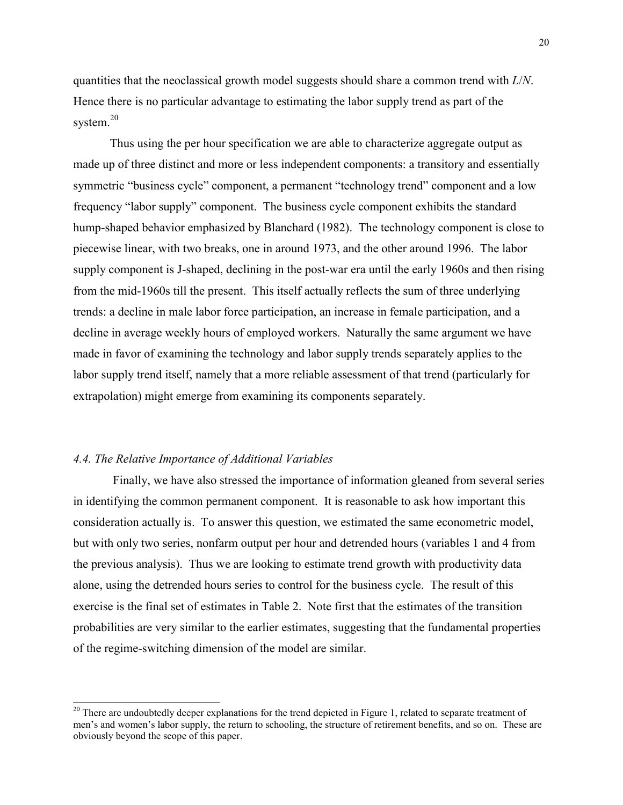quantities that the neoclassical growth model suggests should share a common trend with *L*/*N*. Hence there is no particular advantage to estimating the labor supply trend as part of the system.<sup>20</sup>

Thus using the per hour specification we are able to characterize aggregate output as made up of three distinct and more or less independent components: a transitory and essentially symmetric "business cycle" component, a permanent "technology trend" component and a low frequency "labor supply" component. The business cycle component exhibits the standard hump-shaped behavior emphasized by Blanchard (1982). The technology component is close to piecewise linear, with two breaks, one in around 1973, and the other around 1996. The labor supply component is J-shaped, declining in the post-war era until the early 1960s and then rising from the mid-1960s till the present. This itself actually reflects the sum of three underlying trends: a decline in male labor force participation, an increase in female participation, and a decline in average weekly hours of employed workers. Naturally the same argument we have made in favor of examining the technology and labor supply trends separately applies to the labor supply trend itself, namely that a more reliable assessment of that trend (particularly for extrapolation) might emerge from examining its components separately.

# *4.4. The Relative Importance of Additional Variables*

 $\overline{\phantom{a}}$ 

 Finally, we have also stressed the importance of information gleaned from several series in identifying the common permanent component. It is reasonable to ask how important this consideration actually is. To answer this question, we estimated the same econometric model, but with only two series, nonfarm output per hour and detrended hours (variables 1 and 4 from the previous analysis). Thus we are looking to estimate trend growth with productivity data alone, using the detrended hours series to control for the business cycle. The result of this exercise is the final set of estimates in Table 2. Note first that the estimates of the transition probabilities are very similar to the earlier estimates, suggesting that the fundamental properties of the regime-switching dimension of the model are similar.

 $20$  There are undoubtedly deeper explanations for the trend depicted in Figure 1, related to separate treatment of men's and women's labor supply, the return to schooling, the structure of retirement benefits, and so on. These are obviously beyond the scope of this paper.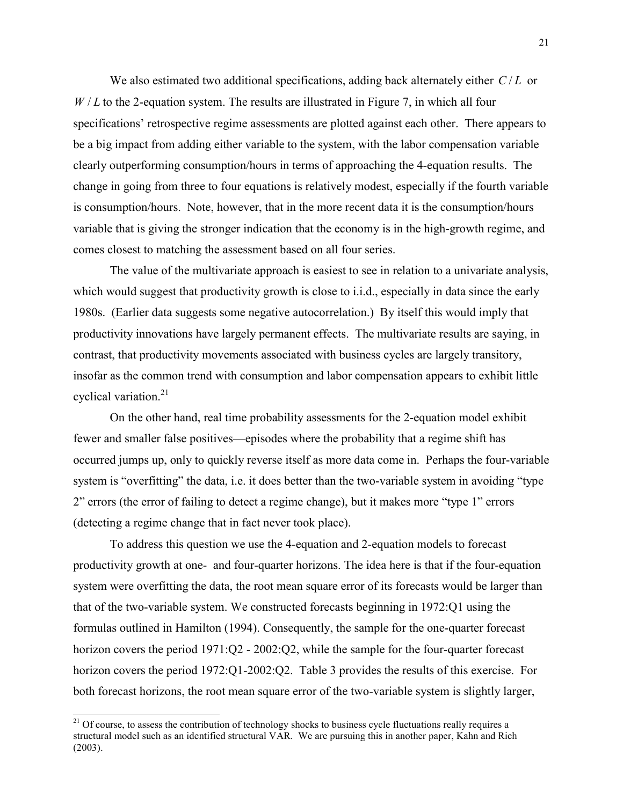We also estimated two additional specifications, adding back alternately either  $C/L$  or  $W/L$  to the 2-equation system. The results are illustrated in Figure 7, in which all four specifications' retrospective regime assessments are plotted against each other. There appears to be a big impact from adding either variable to the system, with the labor compensation variable clearly outperforming consumption/hours in terms of approaching the 4-equation results. The change in going from three to four equations is relatively modest, especially if the fourth variable is consumption/hours. Note, however, that in the more recent data it is the consumption/hours variable that is giving the stronger indication that the economy is in the high-growth regime, and comes closest to matching the assessment based on all four series.

The value of the multivariate approach is easiest to see in relation to a univariate analysis, which would suggest that productivity growth is close to i.i.d., especially in data since the early 1980s. (Earlier data suggests some negative autocorrelation.) By itself this would imply that productivity innovations have largely permanent effects. The multivariate results are saying, in contrast, that productivity movements associated with business cycles are largely transitory, insofar as the common trend with consumption and labor compensation appears to exhibit little cyclical variation. $21$ 

On the other hand, real time probability assessments for the 2-equation model exhibit fewer and smaller false positives—episodes where the probability that a regime shift has occurred jumps up, only to quickly reverse itself as more data come in. Perhaps the four-variable system is "overfitting" the data, i.e. it does better than the two-variable system in avoiding "type 2" errors (the error of failing to detect a regime change), but it makes more "type 1" errors (detecting a regime change that in fact never took place).

To address this question we use the 4-equation and 2-equation models to forecast productivity growth at one- and four-quarter horizons. The idea here is that if the four-equation system were overfitting the data, the root mean square error of its forecasts would be larger than that of the two-variable system. We constructed forecasts beginning in 1972:Q1 using the formulas outlined in Hamilton (1994). Consequently, the sample for the one-quarter forecast horizon covers the period  $1971:Q2 - 2002:Q2$ , while the sample for the four-quarter forecast horizon covers the period 1972:Q1-2002:Q2. Table 3 provides the results of this exercise. For both forecast horizons, the root mean square error of the two-variable system is slightly larger,

 $\overline{\phantom{a}}$ 

<sup>&</sup>lt;sup>21</sup> Of course, to assess the contribution of technology shocks to business cycle fluctuations really requires a structural model such as an identified structural VAR. We are pursuing this in another paper, Kahn and Rich (2003).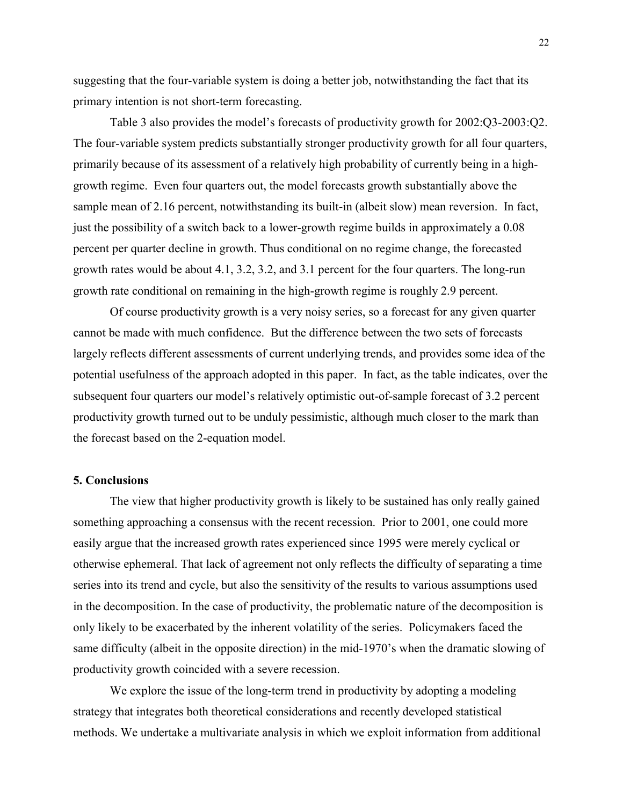suggesting that the four-variable system is doing a better job, notwithstanding the fact that its primary intention is not short-term forecasting.

Table 3 also provides the model's forecasts of productivity growth for 2002:Q3-2003:Q2. The four-variable system predicts substantially stronger productivity growth for all four quarters, primarily because of its assessment of a relatively high probability of currently being in a highgrowth regime. Even four quarters out, the model forecasts growth substantially above the sample mean of 2.16 percent, notwithstanding its built-in (albeit slow) mean reversion. In fact, just the possibility of a switch back to a lower-growth regime builds in approximately a 0.08 percent per quarter decline in growth. Thus conditional on no regime change, the forecasted growth rates would be about 4.1, 3.2, 3.2, and 3.1 percent for the four quarters. The long-run growth rate conditional on remaining in the high-growth regime is roughly 2.9 percent.

Of course productivity growth is a very noisy series, so a forecast for any given quarter cannot be made with much confidence. But the difference between the two sets of forecasts largely reflects different assessments of current underlying trends, and provides some idea of the potential usefulness of the approach adopted in this paper. In fact, as the table indicates, over the subsequent four quarters our model's relatively optimistic out-of-sample forecast of 3.2 percent productivity growth turned out to be unduly pessimistic, although much closer to the mark than the forecast based on the 2-equation model.

# **5. Conclusions**

The view that higher productivity growth is likely to be sustained has only really gained something approaching a consensus with the recent recession. Prior to 2001, one could more easily argue that the increased growth rates experienced since 1995 were merely cyclical or otherwise ephemeral. That lack of agreement not only reflects the difficulty of separating a time series into its trend and cycle, but also the sensitivity of the results to various assumptions used in the decomposition. In the case of productivity, the problematic nature of the decomposition is only likely to be exacerbated by the inherent volatility of the series. Policymakers faced the same difficulty (albeit in the opposite direction) in the mid-1970's when the dramatic slowing of productivity growth coincided with a severe recession.

We explore the issue of the long-term trend in productivity by adopting a modeling strategy that integrates both theoretical considerations and recently developed statistical methods. We undertake a multivariate analysis in which we exploit information from additional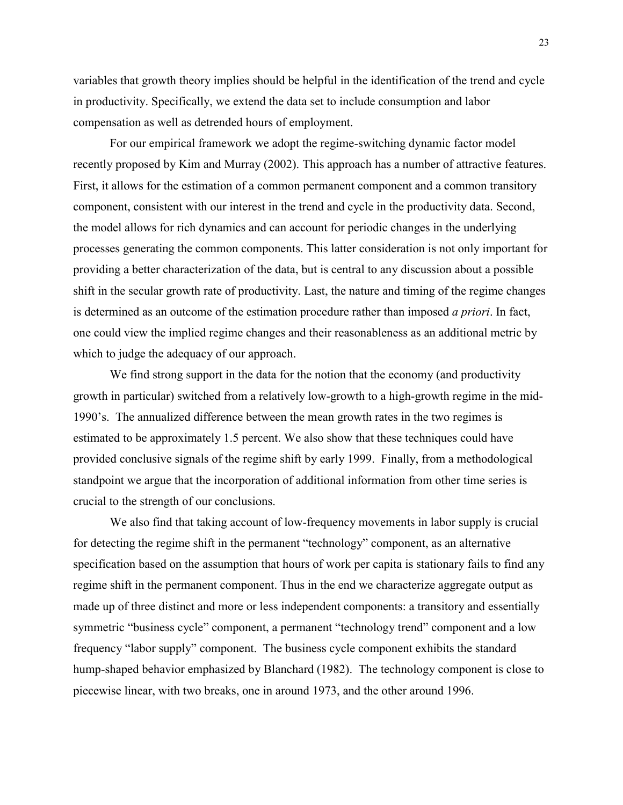variables that growth theory implies should be helpful in the identification of the trend and cycle in productivity. Specifically, we extend the data set to include consumption and labor compensation as well as detrended hours of employment.

For our empirical framework we adopt the regime-switching dynamic factor model recently proposed by Kim and Murray (2002). This approach has a number of attractive features. First, it allows for the estimation of a common permanent component and a common transitory component, consistent with our interest in the trend and cycle in the productivity data. Second, the model allows for rich dynamics and can account for periodic changes in the underlying processes generating the common components. This latter consideration is not only important for providing a better characterization of the data, but is central to any discussion about a possible shift in the secular growth rate of productivity. Last, the nature and timing of the regime changes is determined as an outcome of the estimation procedure rather than imposed *a priori*. In fact, one could view the implied regime changes and their reasonableness as an additional metric by which to judge the adequacy of our approach.

We find strong support in the data for the notion that the economy (and productivity growth in particular) switched from a relatively low-growth to a high-growth regime in the mid-1990's. The annualized difference between the mean growth rates in the two regimes is estimated to be approximately 1.5 percent. We also show that these techniques could have provided conclusive signals of the regime shift by early 1999. Finally, from a methodological standpoint we argue that the incorporation of additional information from other time series is crucial to the strength of our conclusions.

We also find that taking account of low-frequency movements in labor supply is crucial for detecting the regime shift in the permanent "technology" component, as an alternative specification based on the assumption that hours of work per capita is stationary fails to find any regime shift in the permanent component. Thus in the end we characterize aggregate output as made up of three distinct and more or less independent components: a transitory and essentially symmetric "business cycle" component, a permanent "technology trend" component and a low frequency "labor supply" component. The business cycle component exhibits the standard hump-shaped behavior emphasized by Blanchard (1982). The technology component is close to piecewise linear, with two breaks, one in around 1973, and the other around 1996.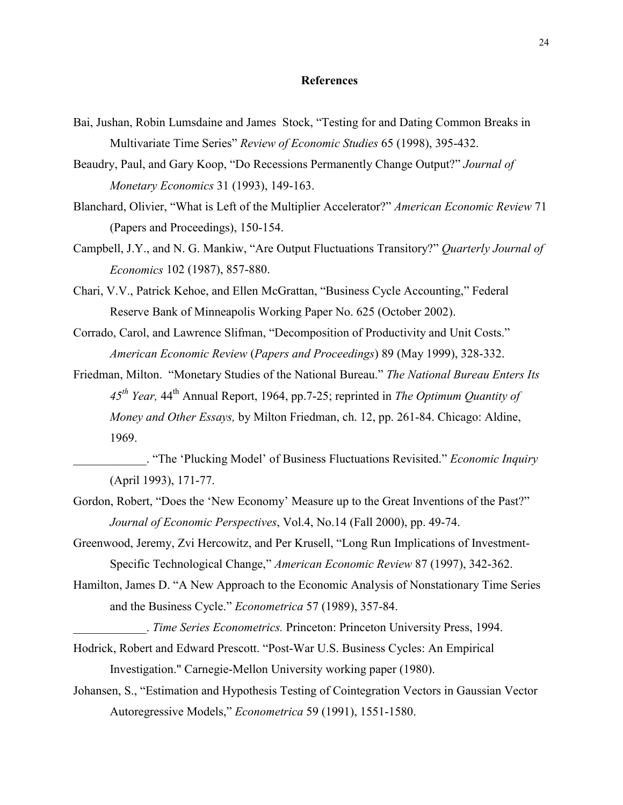# **References**

- Bai, Jushan, Robin Lumsdaine and James Stock, "Testing for and Dating Common Breaks in Multivariate Time Series" *Review of Economic Studies* 65 (1998), 395-432.
- Beaudry, Paul, and Gary Koop, "Do Recessions Permanently Change Output?" *Journal of Monetary Economics* 31 (1993), 149-163.
- Blanchard, Olivier, "What is Left of the Multiplier Accelerator?" *American Economic Review* 71 (Papers and Proceedings), 150-154.
- Campbell, J.Y., and N. G. Mankiw, "Are Output Fluctuations Transitory?" *Quarterly Journal of Economics* 102 (1987), 857-880.
- Chari, V.V., Patrick Kehoe, and Ellen McGrattan, "Business Cycle Accounting," Federal Reserve Bank of Minneapolis Working Paper No. 625 (October 2002).
- Corrado, Carol, and Lawrence Slifman, "Decomposition of Productivity and Unit Costs." *American Economic Review* (*Papers and Proceedings*) 89 (May 1999), 328-332.
- Friedman, Milton. "Monetary Studies of the National Bureau." *The National Bureau Enters Its 45th Year,* 44th Annual Report, 1964, pp.7-25; reprinted in *The Optimum Quantity of Money and Other Essays,* by Milton Friedman, ch. 12, pp. 261-84. Chicago: Aldine, 1969.
- \_\_\_\_\_\_\_\_\_\_\_\_. "The 'Plucking Model' of Business Fluctuations Revisited." *Economic Inquiry* (April 1993), 171-77.
- Gordon, Robert, "Does the 'New Economy' Measure up to the Great Inventions of the Past?" *Journal of Economic Perspectives*, Vol.4, No.14 (Fall 2000), pp. 49-74.
- Greenwood, Jeremy, Zvi Hercowitz, and Per Krusell, "Long Run Implications of Investment-Specific Technological Change," *American Economic Review* 87 (1997), 342-362.
- Hamilton, James D. "A New Approach to the Economic Analysis of Nonstationary Time Series and the Business Cycle." *Econometrica* 57 (1989), 357-84.
	- \_\_\_\_\_\_\_\_\_\_\_\_. *Time Series Econometrics.* Princeton: Princeton University Press, 1994.
- Hodrick, Robert and Edward Prescott. "Post-War U.S. Business Cycles: An Empirical Investigation." Carnegie-Mellon University working paper (1980).
- Johansen, S., "Estimation and Hypothesis Testing of Cointegration Vectors in Gaussian Vector Autoregressive Models," *Econometrica* 59 (1991), 1551-1580.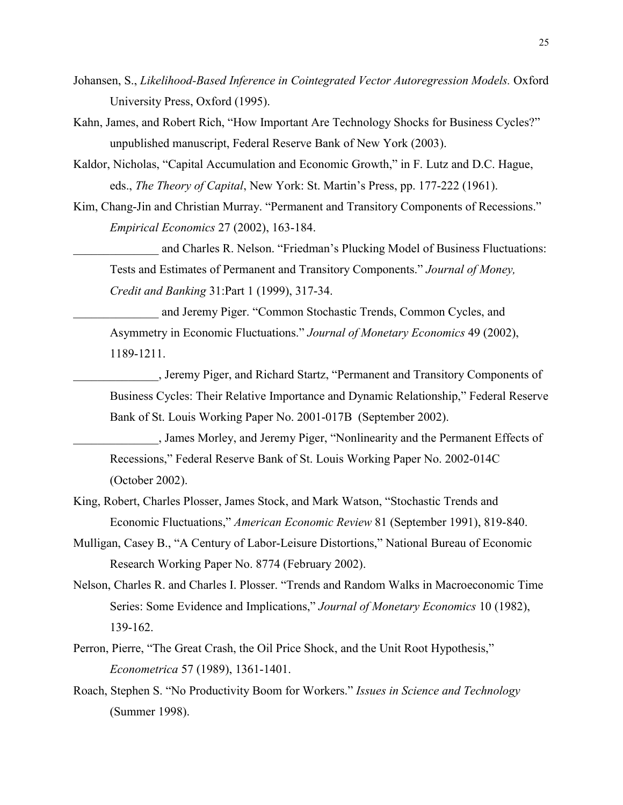- Johansen, S., *Likelihood-Based Inference in Cointegrated Vector Autoregression Models.* Oxford University Press, Oxford (1995).
- Kahn, James, and Robert Rich, "How Important Are Technology Shocks for Business Cycles?" unpublished manuscript, Federal Reserve Bank of New York (2003).
- Kaldor, Nicholas, "Capital Accumulation and Economic Growth," in F. Lutz and D.C. Hague, eds., *The Theory of Capital*, New York: St. Martin's Press, pp. 177-222 (1961).
- Kim, Chang-Jin and Christian Murray. "Permanent and Transitory Components of Recessions." *Empirical Economics* 27 (2002), 163-184.

and Charles R. Nelson. "Friedman's Plucking Model of Business Fluctuations: Tests and Estimates of Permanent and Transitory Components." *Journal of Money, Credit and Banking* 31:Part 1 (1999), 317-34.

and Jeremy Piger. "Common Stochastic Trends, Common Cycles, and Asymmetry in Economic Fluctuations." *Journal of Monetary Economics* 49 (2002), 1189-1211.

\_\_\_\_\_\_\_\_\_\_\_\_\_\_, Jeremy Piger, and Richard Startz, "Permanent and Transitory Components of Business Cycles: Their Relative Importance and Dynamic Relationship," Federal Reserve Bank of St. Louis Working Paper No. 2001-017B (September 2002).

\_\_\_\_\_\_\_\_\_\_\_\_\_\_, James Morley, and Jeremy Piger, "Nonlinearity and the Permanent Effects of Recessions," Federal Reserve Bank of St. Louis Working Paper No. 2002-014C (October 2002).

- King, Robert, Charles Plosser, James Stock, and Mark Watson, "Stochastic Trends and Economic Fluctuations," *American Economic Review* 81 (September 1991), 819-840.
- Mulligan, Casey B., "A Century of Labor-Leisure Distortions," National Bureau of Economic Research Working Paper No. 8774 (February 2002).
- Nelson, Charles R. and Charles I. Plosser. "Trends and Random Walks in Macroeconomic Time Series: Some Evidence and Implications," *Journal of Monetary Economics* 10 (1982), 139-162.
- Perron, Pierre, "The Great Crash, the Oil Price Shock, and the Unit Root Hypothesis," *Econometrica* 57 (1989), 1361-1401.
- Roach, Stephen S. "No Productivity Boom for Workers." *Issues in Science and Technology* (Summer 1998).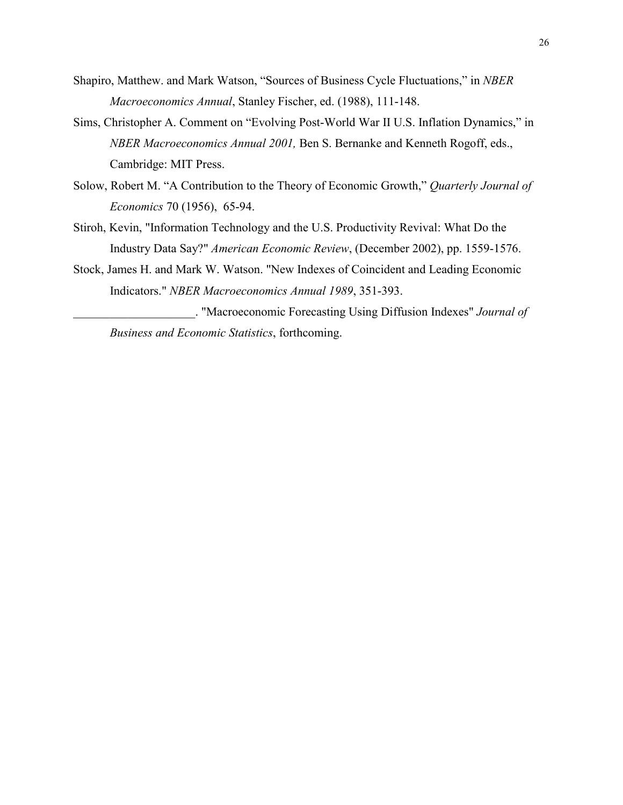- Shapiro, Matthew. and Mark Watson, "Sources of Business Cycle Fluctuations," in *NBER Macroeconomics Annual*, Stanley Fischer, ed. (1988), 111-148.
- Sims, Christopher A. Comment on "Evolving Post-World War II U.S. Inflation Dynamics," in *NBER Macroeconomics Annual 2001,* Ben S. Bernanke and Kenneth Rogoff, eds., Cambridge: MIT Press.
- Solow, Robert M. "A Contribution to the Theory of Economic Growth," *Quarterly Journal of Economics* 70 (1956), 65-94.
- Stiroh, Kevin, "Information Technology and the U.S. Productivity Revival: What Do the Industry Data Say?" *American Economic Review*, (December 2002), pp. 1559-1576.
- Stock, James H. and Mark W. Watson. "New Indexes of Coincident and Leading Economic Indicators." *NBER Macroeconomics Annual 1989*, 351-393.

\_\_\_\_\_\_\_\_\_\_\_\_\_\_\_\_\_\_\_\_. "Macroeconomic Forecasting Using Diffusion Indexes" *Journal of Business and Economic Statistics*, forthcoming.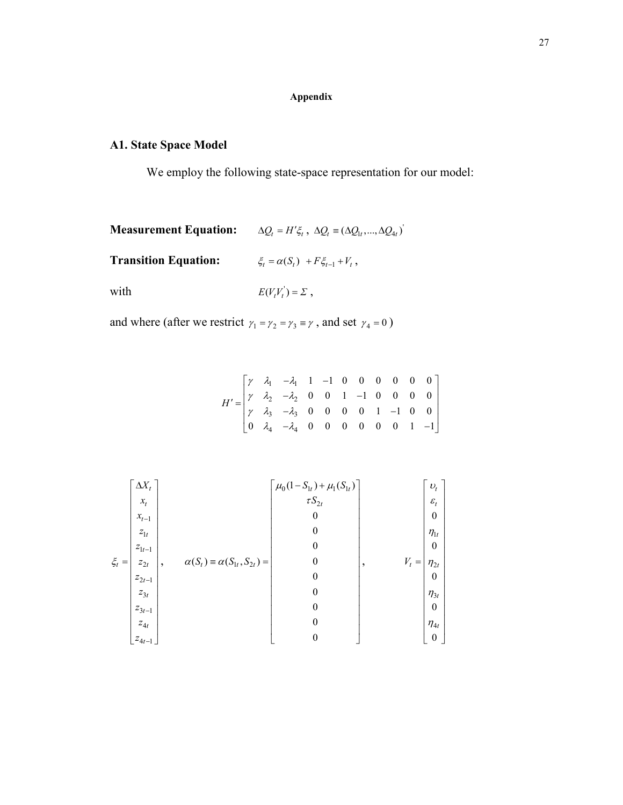# **Appendix**

# **A1. State Space Model**

We employ the following state-space representation for our model:

| <b>Measurement Equation:</b> | $\Delta Q_t = H'\xi_t$ , $\Delta Q_t = (\Delta Q_1, , \Delta Q_{4t})$ |
|------------------------------|-----------------------------------------------------------------------|
| <b>Transition Equation:</b>  | $\xi_t = \alpha(S_t) + F\xi_{t-1} + V_t$ ,                            |
| with                         | $E(V,V'_t)=\Sigma$ ,                                                  |

and where (after we restrict  $\gamma_1 = \gamma_2 = \gamma_3 \equiv \gamma$ , and set  $\gamma_4 = 0$ )

$$
H' = \begin{bmatrix} \gamma & \lambda_1 & -\lambda_1 & 1 & -1 & 0 & 0 & 0 & 0 & 0 & 0 \\ \gamma & \lambda_2 & -\lambda_2 & 0 & 0 & 1 & -1 & 0 & 0 & 0 & 0 \\ \gamma & \lambda_3 & -\lambda_3 & 0 & 0 & 0 & 0 & 1 & -1 & 0 & 0 \\ 0 & \lambda_4 & -\lambda_4 & 0 & 0 & 0 & 0 & 0 & 0 & 1 & -1 \end{bmatrix}
$$

$$
\xi_{t} = \begin{bmatrix} \Delta X_{t} \\ x_{t} \\ x_{t-1} \\ z_{1t} \\ z_{1t} \\ z_{2t-1} \\ z_{3t} \\ z_{4t} \\ z_{4t-1} \end{bmatrix}, \qquad \alpha(S_{t}) = \alpha(S_{1t}, S_{2t}) = \begin{bmatrix} \mu_{0}(1-S_{1t}) + \mu_{1}(S_{1t}) \\ \tau S_{2t} \\ 0 \\ 0 \\ 0 \\ 0 \\ 0 \\ 0 \\ 0 \end{bmatrix}, \qquad V_{t} = \begin{bmatrix} \nu_{t} \\ \varepsilon_{t} \\ 0 \\ 0 \\ 0 \\ 0 \\ 0 \\ 0 \\ 0 \\ 0 \\ 0 \\ 0 \end{bmatrix}
$$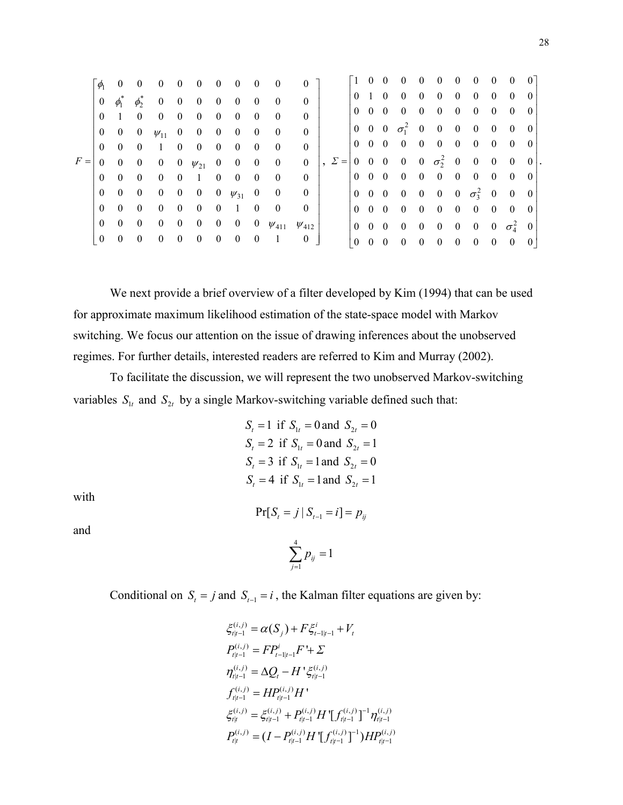|       | $\phi$         | - 0            | $\bf{0}$                 | $\mathbf{0}$            | $\mathbf{0}$   | $\mathbf{0}$                | $\begin{array}{c} \hline \end{array}$ | $\mathbf{0}$            | $\overline{0}$   | $\overline{\phantom{0}}$ | $\Omega$     |                 |          |            | 100000                                                                 |            | $\mathbf{0}$            | $\mathbf{0}$             | $\overline{0}$                        | $\bf{0}$                |          |
|-------|----------------|----------------|--------------------------|-------------------------|----------------|-----------------------------|---------------------------------------|-------------------------|------------------|--------------------------|--------------|-----------------|----------|------------|------------------------------------------------------------------------|------------|-------------------------|--------------------------|---------------------------------------|-------------------------|----------|
|       | $\overline{0}$ | $\phi_1^*$     | $\phi^*$                 | $0\quad 0\quad 0$       |                |                             | $\mathbf{0}$                          | $\overline{\mathbf{0}}$ | $\overline{0}$   | $\overline{0}$           | $\theta$     |                 |          |            | 0 1 0 0 0 0 0                                                          |            |                         | $\overline{0}$           | $\overline{0}$                        | $\overline{0}$          |          |
|       | $\theta$       | $\overline{1}$ | $\overline{0}$           | $\overline{0}$          | $\mathbf{0}$   | $\mathbf{0}$                | $\overline{0}$                        | $\overline{0}$          | $\overline{0}$   | $\overline{0}$           |              |                 |          |            | $0 \t0 \t0 \t0 \t0 \t0$                                                |            | $\overline{\mathbf{0}}$ | $\overline{0}$           | $\overline{0}$                        | $\bf{0}$                |          |
|       | $\mathbf{0}$   | $0 \quad 0$    |                          | $\psi_{11}$ 0 0         |                |                             | $\overline{\mathbf{0}}$               | $\bf{0}$                | $\boldsymbol{0}$ | $\overline{0}$           | $\theta$     |                 |          |            | $0 \t 0 \t 0 \t \sigma_1^2 \t 0 \t 0 \t 0$                             |            |                         | $\overline{\phantom{0}}$ | $\overline{0}$                        | $\overline{0}$          | -0       |
|       | $\theta$       | $\overline{0}$ | $\overline{0}$           | $\frac{1}{2}$           | $\overline{0}$ | $\mathbf{0}$                | $\overline{0}$                        | $\overline{0}$          | $\overline{0}$   | $\overline{0}$           | $\theta$     |                 |          |            | $0 \t0 \t0 \t0 \t0 \t0$                                                |            | $\mathbf{0}$            | $\overline{\mathbf{0}}$  | $\bf{0}$                              | $\bf{0}$                | $\theta$ |
| $F =$ |                |                |                          |                         |                | 0 0 0 0 0 $\psi_{21}$ 0 0 0 |                                       |                         |                  | $\overline{\mathbf{0}}$  | $\theta$     | $\mathcal{L} =$ |          |            | $\begin{pmatrix} 0 & 0 & 0 & 0 & 0 & \sigma_2^2 & 0 & 0 \end{pmatrix}$ |            |                         |                          | $\begin{array}{c} \hline \end{array}$ | $\overline{\mathbf{0}}$ | $\theta$ |
|       | $\Omega$       | $0 \quad 0$    |                          | $\overline{0}$          |                | $0 \quad 1$                 | $\bf{0}$                              | $\overline{0}$          | $\overline{0}$   | $\overline{0}$           | $\theta$     |                 |          |            | $0\quad 0\quad 0\quad 0\quad 0\quad 0$                                 |            | $\overline{\mathbf{0}}$ | $\overline{0}$           | $\bf{0}$                              | $\bf{0}$                | -0       |
|       | $\theta$       | $0\quad 0$     |                          |                         |                | 0 0 0 0 $\psi_{31}$ 0       |                                       |                         |                  | $\overline{\phantom{0}}$ | $\theta$     |                 |          |            | $0 \t0 \t0 \t0 \t0 \t0 \t0 \t0 \t\sigma_3^2 \t0 \t0$                   |            |                         |                          |                                       |                         |          |
|       | $\theta$       | $\theta$       | $\overline{\mathbf{0}}$  | $0\quad 0$              |                | $\overline{\mathbf{0}}$     | $\overline{0}$                        | $\frac{1}{2}$           | $\bf{0}$         | $\overline{0}$           | $\theta$     |                 |          |            | $0 \t0 \t0 \t0 \t0 \t0 \t0$                                            |            |                         | $\overline{\phantom{0}}$ | $\bf{0}$                              | $\bf{0}$                | -0       |
|       | $\overline{0}$ | $0\quad 0$     |                          | $\overline{\mathbf{0}}$ | $\mathbf{0}$   | $\mathbf{0}$                | $\overline{\mathbf{0}}$               | $0\qquad 0$             |                  | $W_{411}$                | $\Psi_{412}$ |                 |          |            | $0 \t0 \t0 \t0 \t0 \t0 \t0$                                            |            |                         | 0 0 $\sigma^2$           |                                       |                         | $\theta$ |
|       | $\overline{0}$ | $\overline{0}$ | $\overline{\phantom{0}}$ | $\overline{0}$          | $\bf{0}$       | $\mathbf{0}$                | $\overline{0}$                        | $\bf{0}$                | $\overline{0}$   | - 1                      | $\theta$     |                 | $\theta$ | $0\quad 0$ | $\overline{0}$                                                         | $0\quad 0$ | $\bf{0}$                | $\bf{0}$                 | $\bf{0}$                              | $\bf{0}$                |          |

We next provide a brief overview of a filter developed by Kim (1994) that can be used for approximate maximum likelihood estimation of the state-space model with Markov switching. We focus our attention on the issue of drawing inferences about the unobserved regimes. For further details, interested readers are referred to Kim and Murray (2002).

To facilitate the discussion, we will represent the two unobserved Markov-switching variables  $S_{1t}$  and  $S_{2t}$  by a single Markov-switching variable defined such that:

> $S_t = 1$  if  $S_{1t} = 0$  and  $S_{2t} = 0$  $S_t = 2$  if  $S_{1t} = 0$  and  $S_{2t} = 1$  $S_t = 3$  if  $S_{1t} = 1$  and  $S_{2t} = 0$  $S_t = 4$  if  $S_{1t} = 1$  and  $S_{2t} = 1$

with

 $Pr[S_t = j | S_{t-1} = i] = p_{ii}$ 

and

$$
\sum_{j=1}^4 p_{ij} = 1
$$

Conditional on  $S_t = j$  and  $S_{t-1} = i$ , the Kalman filter equations are given by:

$$
\xi_{t|t-1}^{(i,j)} = \alpha(S_j) + F \xi_{t-1|t-1}^i + V_t
$$
\n
$$
P_{t|t-1}^{(i,j)} = FP_{t-1|t-1}^i F' + \Sigma
$$
\n
$$
\eta_{t|t-1}^{(i,j)} = \Delta Q_t - H' \xi_{t|t-1}^{(i,j)}
$$
\n
$$
f_{t|t-1}^{(i,j)} = HP_{t|t-1}^{(i,j)} H'
$$
\n
$$
\xi_{t|t}^{(i,j)} = \xi_{t|t-1}^{(i,j)} + P_{t|t-1}^{(i,j)} H' [f_{t|t-1}^{(i,j)}]^{-1} \eta_{t|t-1}^{(i,j)}
$$
\n
$$
P_{t|t}^{(i,j)} = (I - P_{t|t-1}^{(i,j)} H' [f_{t|t-1}^{(i,j)}]^{-1}) H P_{t|t-1}^{(i,j)}
$$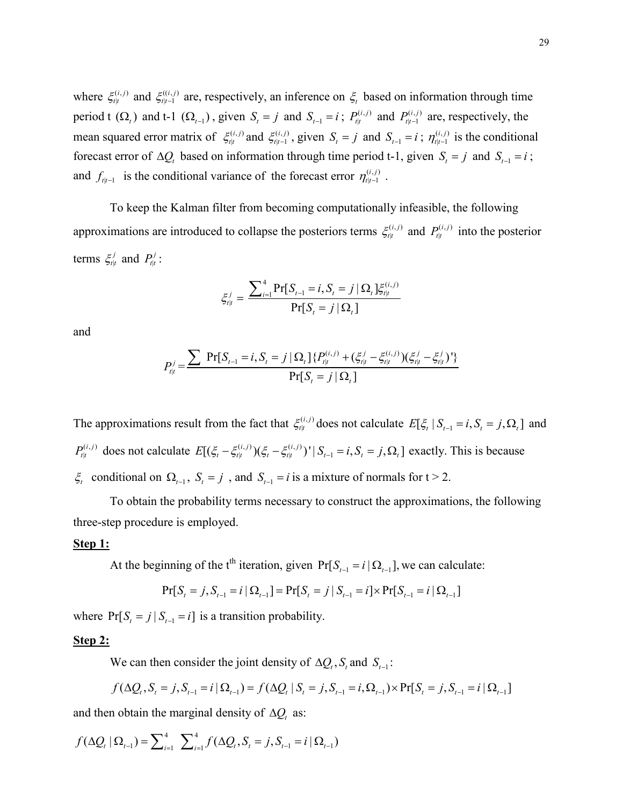where  $\xi_{t|t}^{(i,j)}$  and  $\xi_{t|t-1}^{((i,j))}$ |  $\xi_{t|t-1}^{(i,j)}$  are, respectively, an inference on  $\xi_t$  based on information through time period t  $(\Omega_t)$  and t-1  $(\Omega_{t-1})$ , given  $S_t = j$  and  $S_{t-1} = i$ ;  $P_{t|t}^{(i,j)}$  and  $P_{t|t-1}^{(i,j)}$  are, respectively, the mean squared error matrix of  $\xi_{t|t}^{(i,j)}$  $\xi_{t|t}^{(i,j)}$  and  $\xi_{t|t-1}^{(i,j)}$  $\xi_{t|t-1}^{(i,j)}$ , given  $S_t = j$  and  $S_{t-1} = i$ ;  $\eta_{t|t-1}^{(i,j)}$  is the conditional forecast error of  $\Delta Q_i$  based on information through time period t-1, given  $S_i = j$  and  $S_{i-1} = i$ ; and  $f_{t|t-1}$  is the conditional variance of the forecast error  $\eta_{t|t-1}^{(i,j)}$ .

To keep the Kalman filter from becoming computationally infeasible, the following approximations are introduced to collapse the posteriors terms  $\xi_{t|t}^{(i,j)}$  $\xi_{t|t}^{(i,j)}$  and  $P_{t|t}^{(i,j)}$  into the posterior terms  $\xi_{t|t}^j$  and  $P_{t|t}^j$ :

$$
\xi_{t|t}^{j} = \frac{\sum_{i=1}^{4} \Pr[S_{t-1} = i, S_{t} = j | \Omega_{t}] \xi_{t|t}^{(i,j)}}{\Pr[S_{t} = j | \Omega_{t}]}
$$

and

$$
P_{t|t}^{j} = \frac{\sum \Pr[S_{t-1} = i, S_{t} = j | \Omega_{t}] \{ P_{t|t}^{(i,j)} + (\xi_{t|t}^{j} - \xi_{t|t}^{(i,j)}) (\xi_{t|t}^{j} - \xi_{t|t}^{j})' \}}{\Pr[S_{t} = j | \Omega_{t}]}
$$

The approximations result from the fact that  $\xi_{t|t}^{(i,j)}$  $\zeta_{t|t}^{(i,j)}$  does not calculate  $E[\zeta_t | S_{t-1} = i, S_t = j, \Omega_t]$  and  $(i, j)$  $P_{t|t}^{(i,j)}$  does not calculate  $E[(\xi_t - \xi_{t|t}^{(i,j)})(\xi_t - \xi_{t|t}^{(i,j)})^{\dagger} | S_{t-1} = i, S_t = j, \Omega_t]$  exactly. This is because  $\xi_t$  conditional on  $\Omega_{t-1}$ ,  $S_t = j$ , and  $S_{t-1} = i$  is a mixture of normals for  $t > 2$ .

To obtain the probability terms necessary to construct the approximations, the following three-step procedure is employed.

# **Step 1:**

At the beginning of the t<sup>th</sup> iteration, given  $Pr[S_{t-1} = i | \Omega_{t-1}]$ , we can calculate:

$$
Pr[S_{t} = j, S_{t-1} = i | \Omega_{t-1}] = Pr[S_{t} = j | S_{t-1} = i] \times Pr[S_{t-1} = i | \Omega_{t-1}]
$$

where  $Pr[S_t = j | S_{t-1} = i]$  is a transition probability.

#### **Step 2:**

We can then consider the joint density of  $\Delta Q_i$ ,  $S_i$  and  $S_{i-1}$ :

$$
f(\Delta Q_{t}, S_{t} = j, S_{t-1} = i | \Omega_{t-1}) = f(\Delta Q_{t} | S_{t} = j, S_{t-1} = i, \Omega_{t-1}) \times \Pr[S_{t} = j, S_{t-1} = i | \Omega_{t-1}]
$$

and then obtain the marginal density of  $\Delta Q_t$  as:

$$
f(\Delta Q_t | \Omega_{t-1}) = \sum_{i=1}^4 \sum_{i=1}^4 f(\Delta Q_t, S_t = j, S_{t-1} = i | \Omega_{t-1})
$$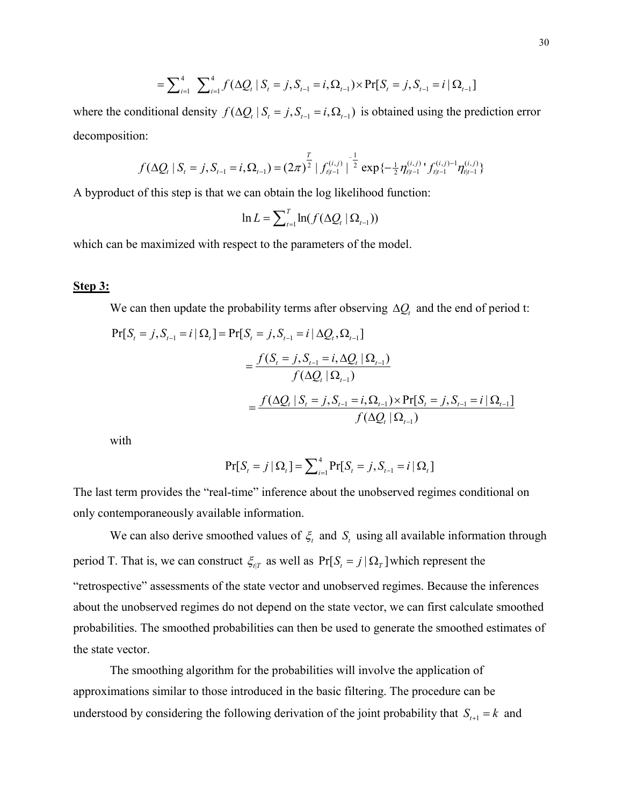$$
= \sum_{i=1}^{4} \sum_{i=1}^{4} f(\Delta Q_{t} | S_{t} = j, S_{t-1} = i, \Omega_{t-1}) \times \Pr[S_{t} = j, S_{t-1} = i | \Omega_{t-1}]
$$

where the conditional density  $f(\Delta Q_i | S_i = j, S_{i-1} = i, \Omega_{i-1})$  is obtained using the prediction error decomposition:

$$
f(\Delta Q_t | S_t = j, S_{t-1} = i, \Omega_{t-1}) = (2\pi)^{\frac{T}{2}} |f_{t|t-1}^{(i,j)}|^{\frac{-1}{2}} \exp\{-\frac{1}{2}\eta_{t|t-1}^{(i,j)} f_{t|t-1}^{(i,j)-1}\eta_{t|t-1}^{(i,j)}\}
$$

A byproduct of this step is that we can obtain the log likelihood function:

$$
\ln L = \sum_{t=1}^{T} \ln(f(\Delta Q_t | \Omega_{t-1}))
$$

which can be maximized with respect to the parameters of the model.

# **Step 3:**

We can then update the probability terms after observing  $\Delta Q_t$  and the end of period t:

$$
Pr[S_{t} = j, S_{t-1} = i | \Omega_{t}] = Pr[S_{t} = j, S_{t-1} = i | \Delta Q_{t}, \Omega_{t-1}]
$$
  
= 
$$
\frac{f(S_{t} = j, S_{t-1} = i, \Delta Q_{t} | \Omega_{t-1})}{f(\Delta Q_{t} | \Omega_{t-1})}
$$
  
= 
$$
\frac{f(\Delta Q_{t} | S_{t} = j, S_{t-1} = i, \Omega_{t-1}) \times Pr[S_{t} = j, S_{t-1} = i | \Omega_{t-1}]}{f(\Delta Q_{t} | \Omega_{t-1})}
$$

with

$$
Pr[S_{t} = j | \Omega_{t}] = \sum_{i=1}^{4} Pr[S_{t} = j, S_{t-1} = i | \Omega_{t}]
$$

The last term provides the "real-time" inference about the unobserved regimes conditional on only contemporaneously available information.

We can also derive smoothed values of  $\xi$  and  $S$  using all available information through period T. That is, we can construct  $\zeta_{tT}$  as well as  $Pr[S_t = j | \Omega_T]$  which represent the "retrospective" assessments of the state vector and unobserved regimes. Because the inferences about the unobserved regimes do not depend on the state vector, we can first calculate smoothed probabilities. The smoothed probabilities can then be used to generate the smoothed estimates of the state vector.

The smoothing algorithm for the probabilities will involve the application of approximations similar to those introduced in the basic filtering. The procedure can be understood by considering the following derivation of the joint probability that  $S_{t+1} = k$  and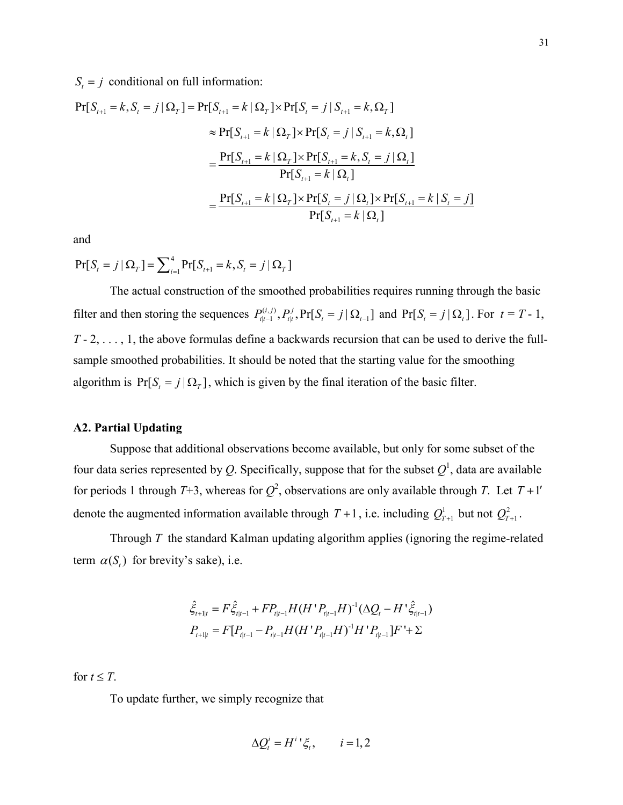$S_t = j$  conditional on full information:

$$
\Pr[S_{t+1} = k, S_t = j | \Omega_T] = \Pr[S_{t+1} = k | \Omega_T] \times \Pr[S_t = j | S_{t+1} = k, \Omega_T]
$$
  
\n
$$
\approx \Pr[S_{t+1} = k | \Omega_T] \times \Pr[S_t = j | S_{t+1} = k, \Omega_t]
$$
  
\n
$$
= \frac{\Pr[S_{t+1} = k | \Omega_T] \times \Pr[S_{t+1} = k, S_t = j | \Omega_t]}{\Pr[S_{t+1} = k | \Omega_t]}
$$
  
\n
$$
= \frac{\Pr[S_{t+1} = k | \Omega_T] \times \Pr[S_t = j | \Omega_t] \times \Pr[S_{t+1} = k | S_t = j]}{\Pr[S_{t+1} = k | \Omega_t]}
$$

and

 $Pr[S_t = j | \Omega_T] = \sum_{i=1}^{4} Pr[S_{t+1} = k, S_t = j | \Omega_T]$ 

The actual construction of the smoothed probabilities requires running through the basic filter and then storing the sequences  $P_{t|t-1}^{(i,j)}, P_{t|t}^{j}, Pr[S_t = j | \Omega_{t-1}]$  and  $Pr[S_t = j | \Omega_t]$ . For  $t = T - 1$ , *T* - 2, . . . , 1, the above formulas define a backwards recursion that can be used to derive the fullsample smoothed probabilities. It should be noted that the starting value for the smoothing algorithm is  $Pr[S_t = j | \Omega_T]$ , which is given by the final iteration of the basic filter.

#### **A2. Partial Updating**

Suppose that additional observations become available, but only for some subset of the four data series represented by Q. Specifically, suppose that for the subset  $Q<sup>1</sup>$ , data are available for periods 1 through  $T+3$ , whereas for  $Q^2$ , observations are only available through *T*. Let  $T+1$ ' denote the augmented information available through  $T + 1$ , i.e. including  $Q_{T+1}^1$  but not  $Q_{T+1}^2$ .

Through *T* the standard Kalman updating algorithm applies (ignoring the regime-related term  $\alpha(S_i)$  for brevity's sake), i.e.

$$
\hat{\xi}_{t+1|t} = F \hat{\xi}_{t|t-1} + FP_{t|t-1} H (H' P_{t|t-1} H)^{-1} (\Delta Q_t - H' \hat{\xi}_{t|t-1})
$$
  

$$
P_{t+1|t} = F[P_{t|t-1} - P_{t|t-1} H (H' P_{t|t-1} H)^{-1} H' P_{t|t-1}] F' + \Sigma
$$

for  $t \leq T$ .

To update further, we simply recognize that

$$
\Delta Q_t^i = H^i \, {}^t \xi_t, \qquad i = 1, 2
$$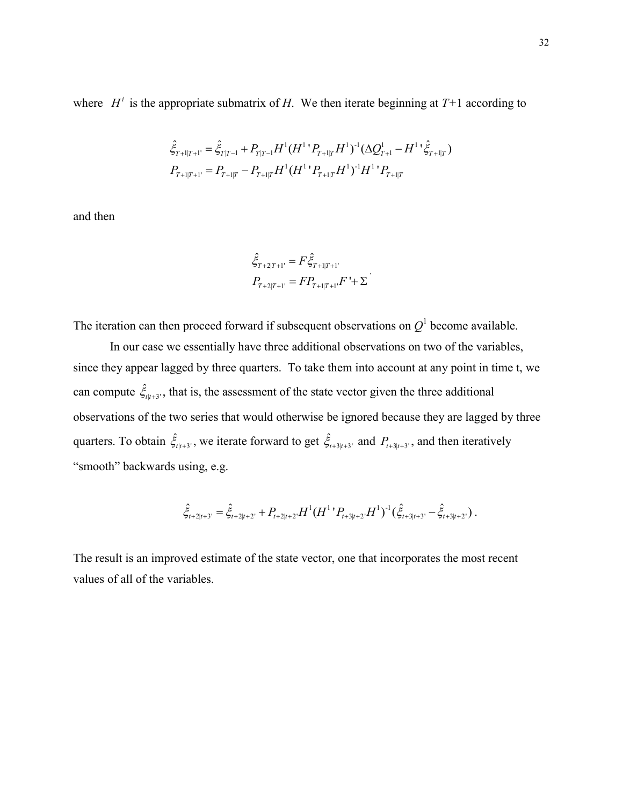where  $H^i$  is the appropriate submatrix of *H*. We then iterate beginning at  $T+1$  according to

$$
\hat{\xi}_{T+1|T+1'} = \hat{\xi}_{T|T-1} + P_{T|T-1}H^{1}(H^{1} P_{T+1|T} H^{1})^{-1} (\Delta Q_{T+1}^{1} - H^{1} P_{T+1|T}^{2})
$$
  

$$
P_{T+1|T+1'} = P_{T+1|T} - P_{T+1|T}H^{1}(H^{1} P_{T+1|T} H^{1})^{-1} H^{1} P_{T+1|T}
$$

and then

$$
\hat{\xi}_{T+2|T+1'} = F \hat{\xi}_{T+1|T+1'}
$$

$$
P_{T+2|T+1'} = FP_{T+1|T+1'}F' + \Sigma
$$

The iteration can then proceed forward if subsequent observations on  $Q<sup>1</sup>$  become available.

In our case we essentially have three additional observations on two of the variables, since they appear lagged by three quarters. To take them into account at any point in time t, we can compute  $\hat{\xi}_{t|t+3'}$ , that is, the assessment of the state vector given the three additional observations of the two series that would otherwise be ignored because they are lagged by three quarters. To obtain  $\hat{\xi}_{t|t+3}$ , we iterate forward to get  $\hat{\xi}_{t+3|t+3}$  and  $P_{t+3|t+3}$ , and then iteratively "smooth" backwards using, e.g.

$$
\hat{\xi}_{t+2|t+3'} = \hat{\xi}_{t+2|t+2'} + P_{t+2|t+2'} H^1 (H^{1} P_{t+3|t+2'} H^1)^{-1} (\hat{\xi}_{t+3|t+3'} - \hat{\xi}_{t+3|t+2'}).
$$

The result is an improved estimate of the state vector, one that incorporates the most recent values of all of the variables.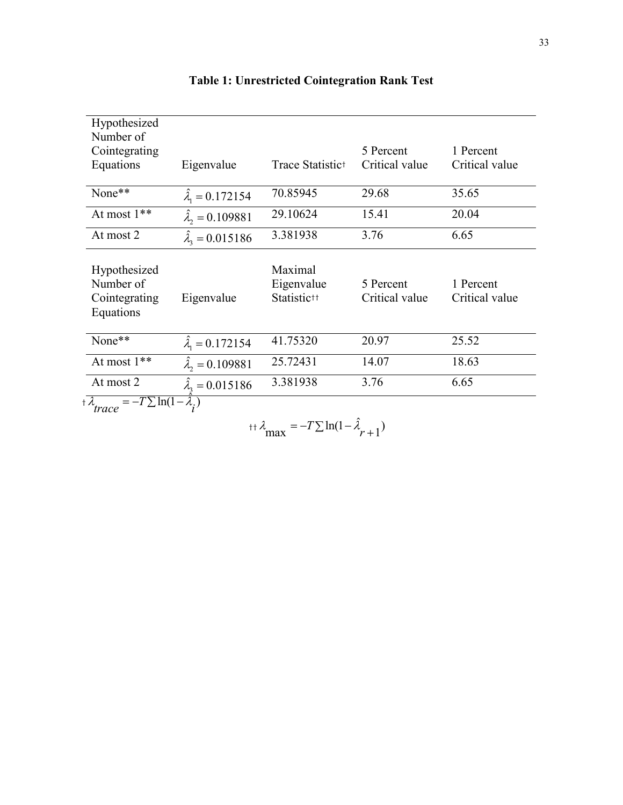| Hypothesized<br>Number of                               |                              |                                                  |                             |                             |
|---------------------------------------------------------|------------------------------|--------------------------------------------------|-----------------------------|-----------------------------|
| Cointegrating                                           |                              |                                                  | 5 Percent                   | 1 Percent                   |
| Equations                                               | Eigenvalue                   | Trace Statistic <sup>+</sup>                     | Critical value              | Critical value              |
| None**                                                  | $\lambda_1 = 0.172154$       | 70.85945                                         | 29.68                       | 35.65                       |
| At most 1**                                             | $\hat{\lambda}_2 = 0.109881$ | 29.10624                                         | 15.41                       | 20.04                       |
| At most 2                                               | $\hat{\lambda}_1 = 0.015186$ | 3.381938                                         | 3.76                        | 6.65                        |
| Hypothesized<br>Number of<br>Cointegrating<br>Equations | Eigenvalue                   | Maximal<br>Eigenvalue<br>Statistic <sup>++</sup> | 5 Percent<br>Critical value | 1 Percent<br>Critical value |
| None**                                                  | $\lambda_1 = 0.172154$       | 41.75320                                         | 20.97                       | 25.52                       |
| At most 1**                                             | $\hat{\lambda}_2 = 0.109881$ | 25.72431                                         | 14.07                       | 18.63                       |
| At most 2                                               | $\hat{\lambda}_3 = 0.015186$ | 3.381938                                         | 3.76                        | 6.65                        |
| $=-T \sum \ln(1 - \lambda)$<br>$+ \lambda$              |                              |                                                  |                             |                             |

# **Table 1: Unrestricted Cointegration Rank Test**

 † <sup>ˆ</sup> *<sup>T</sup>* ln(1 ) *trace i* - $\tilde{i}$ 

$$
+ \lambda_{\text{max}} = -T \sum \ln(1 - \hat{\lambda}_{r+1})
$$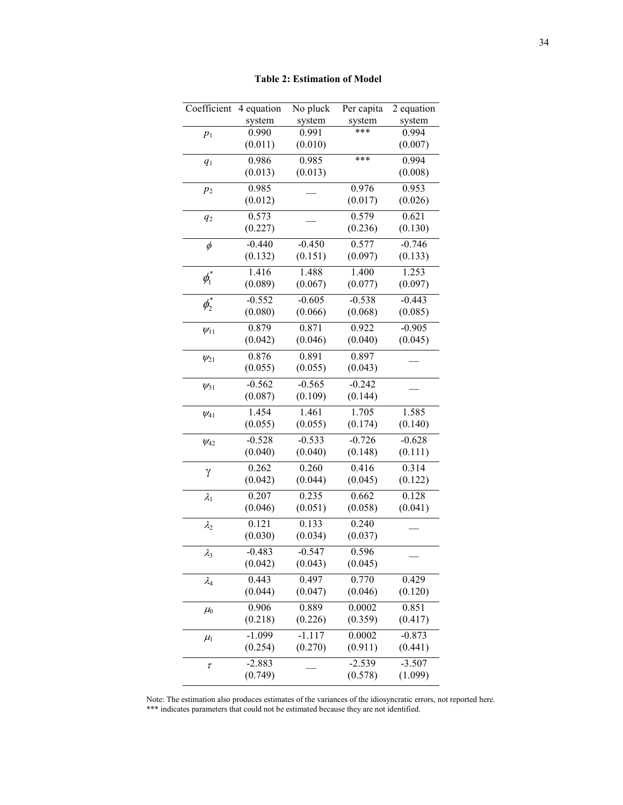| Coefficient                      | 4 equation       | No pluck         | Per capita       | 2 equation       |
|----------------------------------|------------------|------------------|------------------|------------------|
|                                  | system           | system           | system           | system           |
| $p_1$                            | 0.990            | 0.991            | ***              | 0.994            |
|                                  | (0.011)          | (0.010)          |                  | (0.007)          |
| $q_1$                            | 0.986            | 0.985            | ***              | 0.994            |
|                                  | (0.013)          | (0.013)          |                  | (0.008)          |
| $p_2$                            | 0.985            |                  | 0.976            | 0.953            |
|                                  | (0.012)          |                  | (0.017)          | (0.026)          |
| $q_2$                            | 0.573            |                  | 0.579            | 0.621            |
|                                  | (0.227)          |                  | (0.236)          | (0.130)          |
| $\phi$                           | $-0.440$         | $-0.450$         | 0.577            | $-0.746$         |
|                                  | (0.132)          | (0.151)          | (0.097)          | (0.133)          |
|                                  | 1.416            | 1.488            | 1.400            | 1.253            |
| $\phi_{\scriptscriptstyle\!1}^*$ | (0.089)          | (0.067)          | (0.077)          | (0.097)          |
|                                  | $-0.552$         | $-0.605$         | $-0.538$         | $-0.443$         |
| $\phi_2^*$                       | (0.080)          | (0.066)          | (0.068)          | (0.085)          |
| $\psi_{11}$                      | 0.879            | 0.871            | 0.922            | $-0.905$         |
|                                  | (0.042)          | (0.046)          | (0.040)          | (0.045)          |
| $\psi_{21}$                      | 0.876            | 0.891            | 0.897            |                  |
|                                  | (0.055)          | (0.055)          | (0.043)          |                  |
|                                  | $-0.562$         | $-0.565$         | $-0.242$         |                  |
| $\psi_{31}$                      | (0.087)          | (0.109)          | (0.144)          |                  |
|                                  | 1.454            | 1.461            | 1.705            | 1.585            |
| $\psi_{41}$                      | (0.055)          | (0.055)          | (0.174)          | (0.140)          |
|                                  | $-0.528$         | $-0.533$         | $-0.726$         | $-0.628$         |
| $\psi_{42}$                      | (0.040)          | (0.040)          | (0.148)          | (0.111)          |
|                                  |                  |                  |                  |                  |
| γ                                | 0.262<br>(0.042) | 0.260<br>(0.044) | 0.416<br>(0.045) | 0.314<br>(0.122) |
|                                  |                  |                  |                  |                  |
| $\lambda_1$                      | 0.207            | 0.235            | 0.662            | 0.128            |
|                                  | (0.046)          | (0.051)          | (0.058)          | (0.041)          |
| $\lambda_2$                      | 0.121            | 0.133            | 0.240            |                  |
|                                  | (0.030)          | (0.034)          | (0.037)          |                  |
| $\lambda_3$                      | $-0.483$         | $-0.547$         | 0.596            |                  |
|                                  | (0.042)          | (0.043)          | (0.045)          |                  |
| $\lambda_4$                      | 0.443            | 0.497            | 0.770            | 0.429            |
|                                  | (0.044)          | (0.047)          | (0.046)          | (0.120)          |
| $\mu_0$                          | 0.906            | 0.889            | 0.0002           | 0.851            |
|                                  | (0.218)          | (0.226)          | (0.359)          | (0.417)          |
| $\mu_1$                          | $-1.099$         | -1.117           | 0.0002           | $-0.873$         |
|                                  | (0.254)          | (0.270)          | (0.911)          | (0.441)          |
| $\tau$                           | $-2.883$         |                  | $-2.539$         | $-3.507$         |
|                                  | (0.749)          |                  | (0.578)          | (1.099)          |
|                                  |                  |                  |                  |                  |

Note: The estimation also produces estimates of the variances of the idiosyncratic errors, not reported here. \*\*\* indicates parameters that could not be estimated because they are not identified.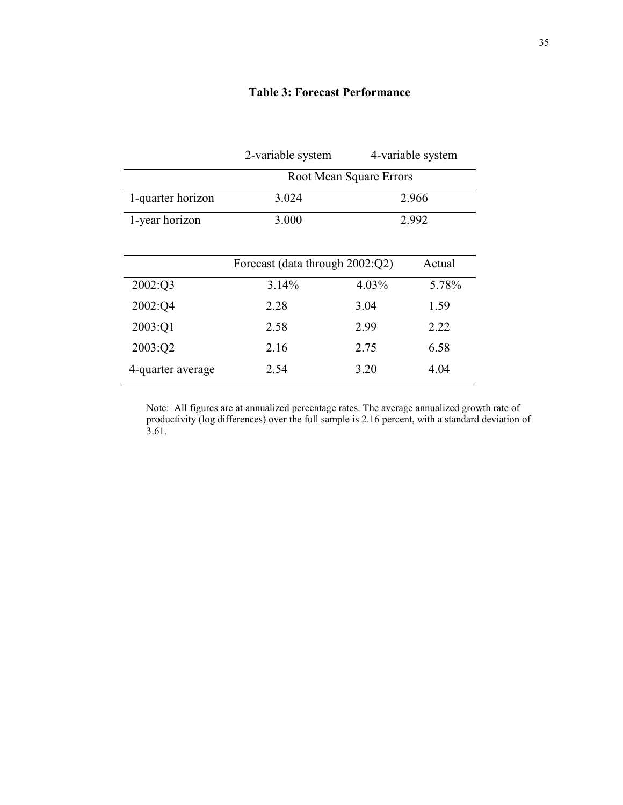|                   | 2-variable system       | 4-variable system |
|-------------------|-------------------------|-------------------|
|                   | Root Mean Square Errors |                   |
| 1-quarter horizon | 3.024                   | 2.966             |

# **Table 3: Forecast Performance**

|                   | Forecast (data through 2002:Q2) |       | Actual |
|-------------------|---------------------------------|-------|--------|
| 2002:Q3           | 3.14%                           | 4.03% | 5.78%  |
| 2002:Q4           | 2.28                            | 3.04  | 1.59   |
| 2003:Q1           | 2.58                            | 299   | 2.22   |
| 2003:Q2           | 2.16                            | 2.75  | 6.58   |
| 4-quarter average | 2.54                            | 3.20  | 4.04   |

1-year horizon 3.000 2.992

Note: All figures are at annualized percentage rates. The average annualized growth rate of productivity (log differences) over the full sample is 2.16 percent, with a standard deviation of 3.61.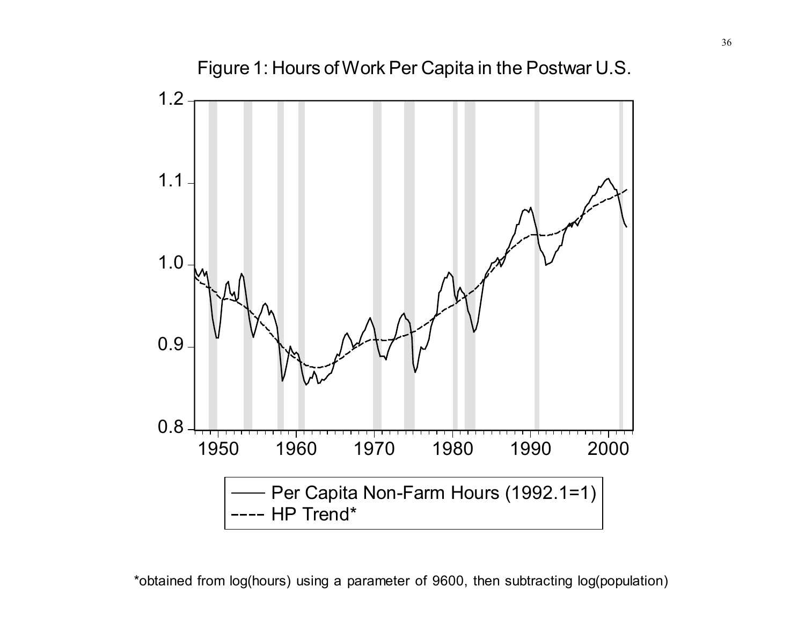

Figure 1: Hours of Work Per Capita in the Postwar U.S.

\*obtained from log(hours) using a parameter of 9600, then subtracting log(population)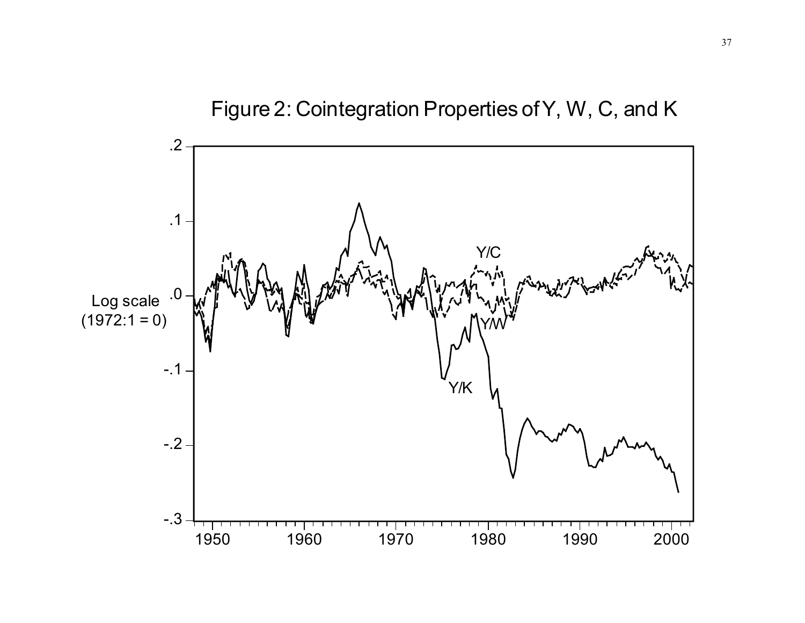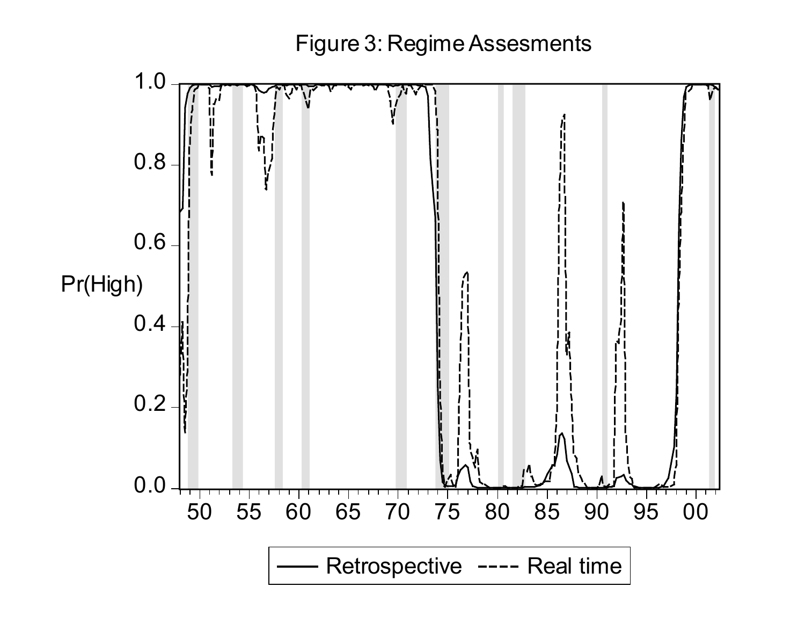Figure 3: Regime Assesments

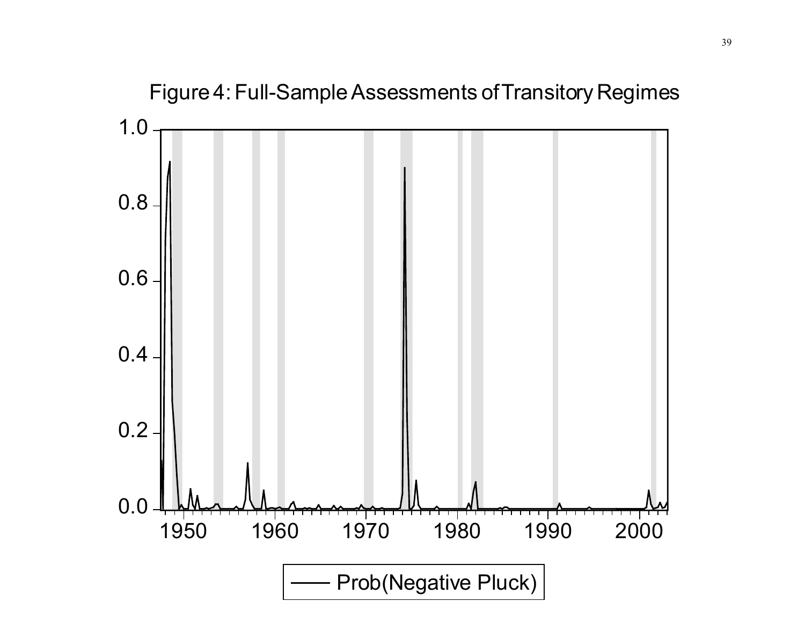

Figure 4: Full-Sample Assessments of Transitory Regimes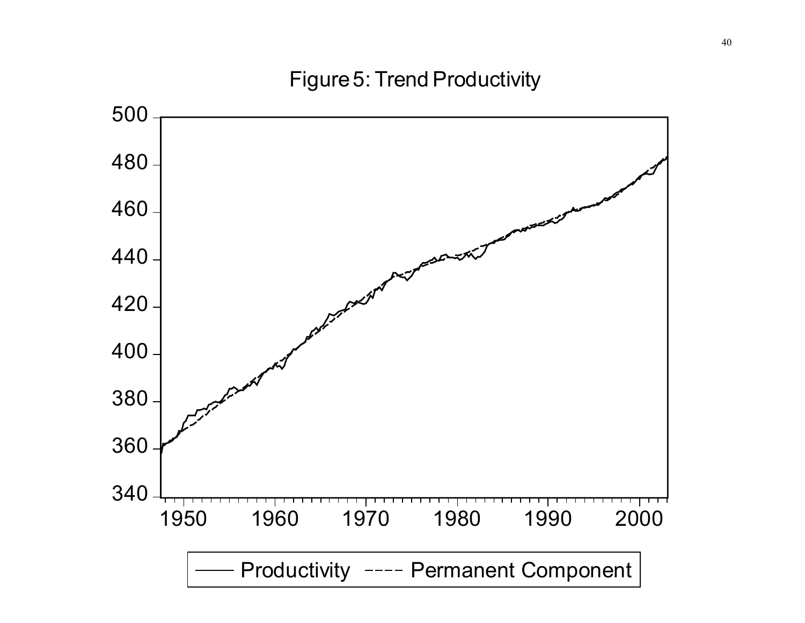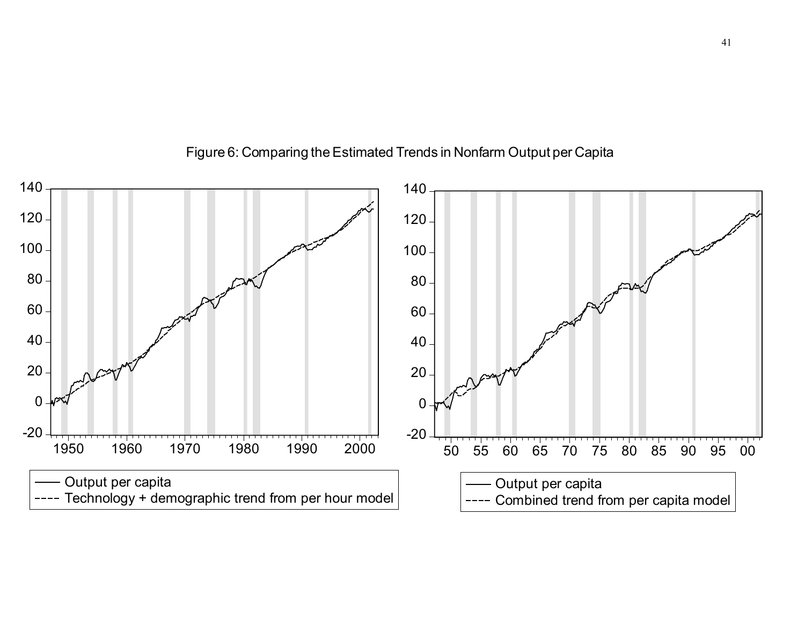

Figure 6: Comparing the Estimated Trends in Nonfarm Output per Capita